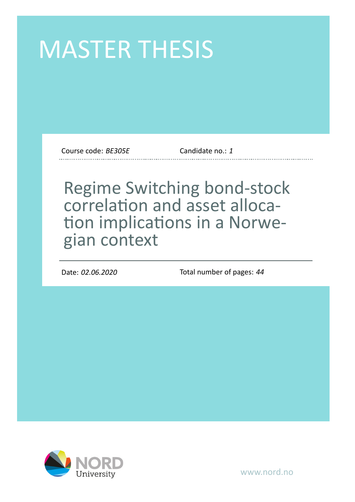# MASTER THESIS

Course code: *BE305E* Candidate no.: *1*

# Regime Switching bond-stock correlation and asset allocation implications in a Norwegian context

Date: *02.06.2020* Total number of pages: *44*



www.nord.no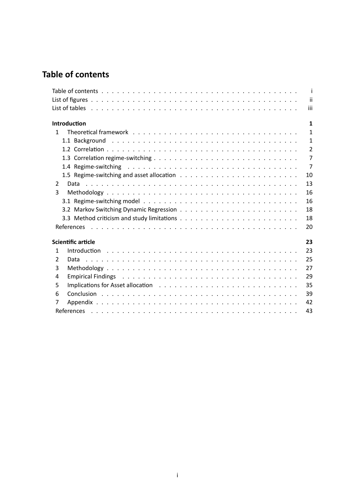# <span id="page-1-0"></span>**Table of contents**

|              |                     | -i-            |
|--------------|---------------------|----------------|
|              |                     | -ii            |
|              |                     | iii            |
|              | <b>Introduction</b> | $\mathbf{1}$   |
| $\mathbf{1}$ |                     | $\mathbf{1}$   |
|              |                     | 1              |
|              |                     | $\overline{2}$ |
|              |                     | $\overline{7}$ |
|              |                     | $\overline{7}$ |
|              |                     | 10             |
| 2            | Data                | 13             |
| 3            |                     | 16             |
|              |                     | 16             |
|              |                     | 18             |
|              |                     | 18             |
|              |                     | 20             |
|              | Scientific article  | 23             |
| 1            |                     | 23             |
| 2            |                     | 25             |
| 3            |                     | 27             |
| 4            |                     | 29             |
| 5            |                     | 35             |
| 6            |                     | 39             |
| 7            |                     | 42             |
|              |                     | 43             |
|              |                     |                |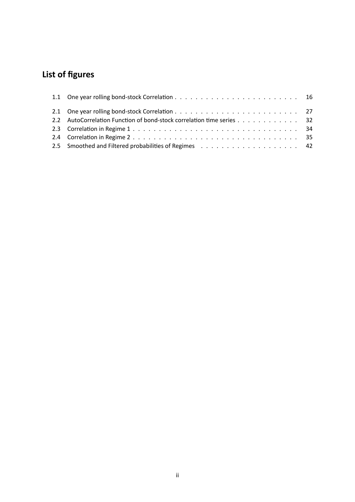# <span id="page-2-0"></span>**List of figures**

| 2.2 AutoCorrelation Function of bond-stock correlation time series 32 |
|-----------------------------------------------------------------------|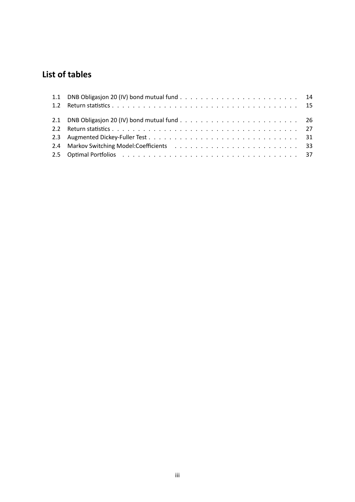## <span id="page-3-0"></span>**List of tables**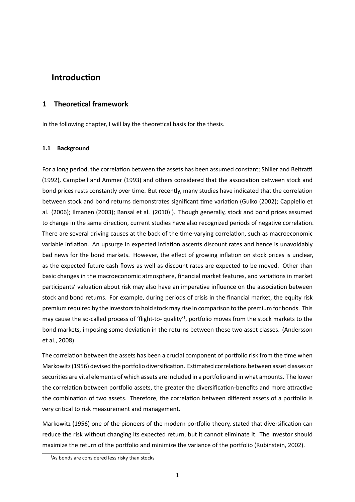### <span id="page-4-0"></span>**IntroducƟon**

#### **1 TheoreƟcal framework**

<span id="page-4-1"></span>In the following chapter, I will lay the theoretical basis for the thesis.

#### **1.1 Background**

<span id="page-4-2"></span>For a long period, the correlation between the assets has been assumed constant; Shiller and Beltratti (1992), Campbell and Ammer (1993) and others considered that the association between stock and bond prices rests constantly over time. But recently, many studies have indicated that the correlation between stock and bond returns demonstrates significant time variation (Gulko (2002); Cappiello et al. (2006); Ilmanen (2003); Bansal et al. (2010) ). Though generally, stock and bond prices assumed to change in the same direction, current studies have also recognized periods of negative correlation. There are several driving causes at the back of the time-varying correlation, such as macroeconomic variable inflation. An upsurge in expected inflation ascents discount rates and hence is unavoidably bad news for the bond markets. However, the effect of growing inflation on stock prices is unclear, as the expected future cash flows as well as discount rates are expected to be moved. Other than basic changes in the macroeconomic atmosphere, financial market features, and variations in market participants' valuation about risk may also have an imperative influence on the association between stock and bond returns. For example, during periods of crisis in the financial market, the equity risk premium required by the investors to hold stock may rise in comparison to the premium for bonds. This may cause the so-called process of 'flight-to- quality'<sup>1</sup>, portfolio moves from the stock markets to the bond markets, imposing some deviation in the returns between these two asset classes. (Andersson et al., 2008)

The correlation between the assets has been a crucial component of portfolio risk from the time when Markowitz (1956) devised the portfolio diversification. Estimated correlations between asset classes or securities are vital elements of which assets are included in a portfolio and in what amounts. The lower the correlation between portfolio assets, the greater the diversification-benefits and more attractive the combination of two assets. Therefore, the correlation between different assets of a portfolio is very critical to risk measurement and management.

Markowitz (1956) one of the pioneers of the modern portfolio theory, stated that diversification can reduce the risk without changing its expected return, but it cannot eliminate it. The investor should maximize the return of the portfolio and minimize the variance of the portfolio (Rubinstein, 2002).

<sup>&</sup>lt;sup>1</sup>As bonds are considered less risky than stocks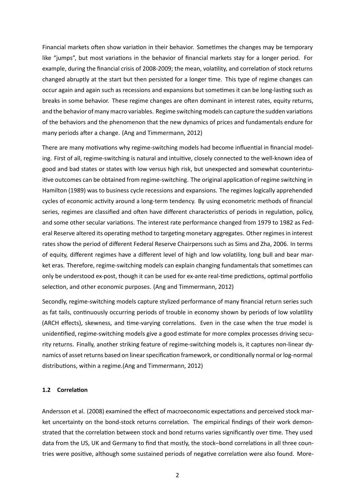Financial markets often show variation in their behavior. Sometimes the changes may be temporary like "jumps", but most variations in the behavior of financial markets stay for a longer period. For example, during the financial crisis of 2008-2009; the mean, volatility, and correlation of stock returns changed abruptly at the start but then persisted for a longer time. This type of regime changes can occur again and again such as recessions and expansions but sometimes it can be long-lasting such as breaks in some behavior. These regime changes are often dominant in interest rates, equity returns, and the behavior of many macro variables. Regime switching models can capture the sudden variations of the behaviors and the phenomenon that the new dynamics of prices and fundamentals endure for many periods after a change. (Ang and Timmermann, 2012)

There are many motivations why regime-switching models had become influential in financial modeling. First of all, regime-switching is natural and intuitive, closely connected to the well-known idea of good and bad states or states with low versus high risk, but unexpected and somewhat counterintuitive outcomes can be obtained from regime-switching. The original application of regime switching in Hamilton (1989) was to business cycle recessions and expansions. The regimes logically apprehended cycles of economic activity around a long-term tendency. By using econometric methods of financial series, regimes are classified and often have different characteristics of periods in regulation, policy, and some other secular variations. The interest rate performance changed from 1979 to 1982 as Federal Reserve altered its operating method to targeting monetary aggregates. Other regimes in interest rates show the period of different Federal Reserve Chairpersons such as Sims and Zha, 2006. In terms of equity, different regimes have a different level of high and low volatility, long bull and bear market eras. Therefore, regime-switching models can explain changing fundamentals that sometimes can only be understood ex-post, though it can be used for ex-ante real-time predictions, optimal portfolio selection, and other economic purposes. (Ang and Timmermann, 2012)

Secondly, regime-switching models capture stylized performance of many financial return series such as fat tails, continuously occurring periods of trouble in economy shown by periods of low volatility (ARCH effects), skewness, and time-varying correlations. Even in the case when the true model is unidentified, regime-switching models give a good estimate for more complex processes driving security returns. Finally, another striking feature of regime-switching models is, it captures non-linear dynamics of asset returns based on linear specification framework, or conditionally normal or log-normal distributions, within a regime.(Ang and Timmermann, 2012)

#### <span id="page-5-0"></span>**1.2 CorrelaƟon**

Andersson et al. (2008) examined the effect of macroeconomic expectations and perceived stock market uncertainty on the bond-stock returns correlation. The empirical findings of their work demonstrated that the correlation between stock and bond returns varies significantly over time. They used data from the US, UK and Germany to find that mostly, the stock–bond correlations in all three countries were positive, although some sustained periods of negative correlation were also found. More-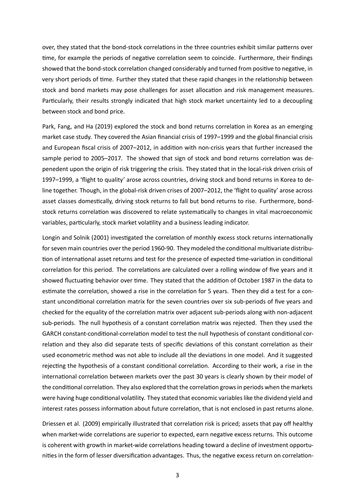over, they stated that the bond-stock correlations in the three countries exhibit similar patterns over time, for example the periods of negative correlation seem to coincide. Furthermore, their findings showed that the bond-stock correlation changed considerably and turned from positive to negative, in very short periods of time. Further they stated that these rapid changes in the relationship between stock and bond markets may pose challenges for asset allocation and risk management measures. Particularly, their results strongly indicated that high stock market uncertainty led to a decoupling between stock and bond price.

Park, Fang, and Ha (2019) explored the stock and bond returns correlation in Korea as an emerging market case study. They covered the Asian financial crisis of 1997–1999 and the global financial crisis and European fiscal crisis of 2007–2012, in addition with non-crisis years that further increased the sample period to 2005–2017. The showed that sign of stock and bond returns correlation was depenedent upon the origin of risk triggering the crisis. They stated that in the local-risk driven crisis of 1997–1999, a 'flight to quality' arose across countries, driving stock and bond returns in Korea to deline together. Though, in the global-risk driven crises of 2007–2012, the 'flight to quality' arose across asset classes domestically, driving stock returns to fall but bond returns to rise. Furthermore, bondstock returns correlation was discovered to relate systematically to changes in vital macroeconomic variables, particularly, stock market volatility and a business leading indicator.

Longin and Solnik (2001) investigated the correlation of monthly excess stock returns internationally for seven main countries over the period 1960-90. They modeled the conditional multivariate distribution of international asset returns and test for the presence of expected time-variation in conditional correlation for this period. The correlations are calculated over a rolling window of five years and it showed fluctuating behavior over time. They stated that the addition of October 1987 in the data to estimate the correlation, showed a rise in the correlation for 5 years. Then they did a test for a constant unconditional correlation matrix for the seven countries over six sub-periods of five years and checked for the equality of the correlation matrix over adjacent sub-periods along with non-adjacent sub-periods. The null hypothesis of a constant correlation matrix was rejected. Then they used the GARCH constant-conditional-correlation model to test the null hypothesis of constant conditional correlation and they also did separate tests of specific deviations of this constant correlation as their used econometric method was not able to include all the deviations in one model. And it suggested rejecting the hypothesis of a constant conditional correlation. According to their work, a rise in the international correlation between markets over the past 30 years is clearly shown by their model of the conditional correlation. They also explored that the correlation grows in periods when the markets were having huge conditional volatility. They stated that economic variables like the dividend yield and interest rates possess information about future correlation, that is not enclosed in past returns alone.

Driessen et al. (2009) empirically illustrated that correlation risk is priced; assets that pay off healthy when market-wide correlations are superior to expected, earn negative excess returns. This outcome is coherent with growth in market-wide correlations heading toward a decline of investment opportunities in the form of lesser diversification advantages. Thus, the negative excess return on correlation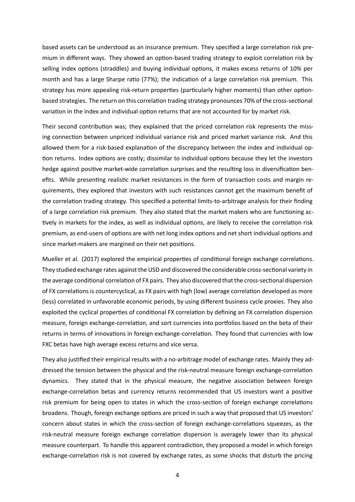based assets can be understood as an insurance premium. They specified a large correlation risk premium in different ways. They showed an option-based trading strategy to exploit correlation risk by selling index options (straddles) and buying individual options, it makes excess returns of 10% per month and has a large Sharpe ratio (77%); the indication of a large correlation risk premium. This strategy has more appealing risk-return properties (particularly higher moments) than other optionbased strategies. The return on this correlation trading strategy pronounces 70% of the cross-sectional variation in the index and individual option returns that are not accounted for by market risk.

Their second contribution was; they explained that the priced correlation risk represents the missing connection between unpriced individual variance risk and priced market variance risk. And this allowed them for a risk-based explanation of the discrepancy between the index and individual option returns. Index options are costly; dissimilar to individual options because they let the investors hedge against positive market-wide correlation surprises and the resulting loss in diversification benefits. While presenting realistic market resistances in the form of transaction costs and margin requirements, they explored that investors with such resistances cannot get the maximum benefit of the correlation trading strategy. This specified a potential limits-to-arbitrage analysis for their finding of a large correlation risk premium. They also stated that the market makers who are functioning actively in markets for the index, as well as individual options, are likely to receive the correlation risk premium, as end-users of options are with net long index options and net short individual options and since market-makers are margined on their net positions.

Mueller et al. (2017) explored the empirical properties of conditional foreign exchange correlations. They studied exchange rates against the USD and discovered the considerable cross-sectional variety in the average conditional correlation of FX pairs. They also discovered that the cross-sectional dispersion of FX correlations is countercyclical, as FX pairs with high (low) average correlation developed as more (less) correlated in unfavorable economic periods, by using diīerent business cycle proxies. They also exploited the cyclical properties of conditional FX correlation by defining an FX correlation dispersion measure, foreign exchange-correlation, and sort currencies into portfolios based on the beta of their returns in terms of innovations in foreign exchange-correlation. They found that currencies with low FXC betas have high average excess returns and vice versa.

They also justified their empirical results with a no-arbitrage model of exchange rates. Mainly they addressed the tension between the physical and the risk-neutral measure foreign exchange-correlation dynamics. They stated that in the physical measure, the negative association between foreign exchange-correlation betas and currency returns recommended that US investors want a positive risk premium for being open to states in which the cross-section of foreign exchange correlations broadens. Though, foreign exchange options are priced in such a way that proposed that US investors' concern about states in which the cross-section of foreign exchange-correlations squeezes, as the risk-neutral measure foreign exchange correlation dispersion is averagely lower than its physical measure counterpart. To handle this apparent contradiction, they proposed a model in which foreign exchange-correlation risk is not covered by exchange rates, as some shocks that disturb the pricing

4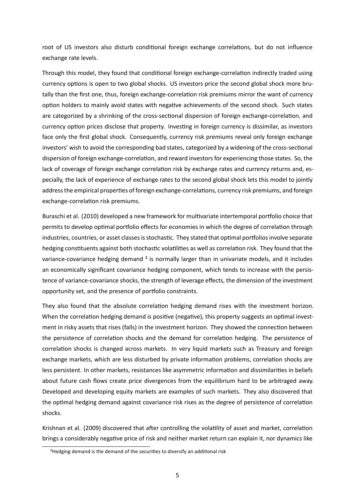root of US investors also disturb conditional foreign exchange correlations, but do not influence exchange rate levels.

Through this model, they found that conditional foreign exchange-correlation indirectly traded using currency options is open to two global shocks. US investors price the second global shock more brutally than the first one, thus, foreign exchange-correlation risk premiums mirror the want of currency option holders to mainly avoid states with negative achievements of the second shock. Such states are categorized by a shrinking of the cross-sectional dispersion of foreign exchange-correlation, and currency option prices disclose that property. Investing in foreign currency is dissimilar, as investors face only the first global shock. Consequently, currency risk premiums reveal only foreign exchange investors' wish to avoid the corresponding bad states, categorized by a widening of the cross-sectional dispersion of foreign exchange-correlation, and reward investors for experiencing those states. So, the lack of coverage of foreign exchange correlation risk by exchange rates and currency returns and, especially, the lack of experience of exchange rates to the second global shock lets this model to jointly address the empirical properties of foreign exchange-correlations, currency risk premiums, and foreign exchange-correlation risk premiums.

Buraschi et al. (2010) developed a new framework for multivariate intertemporal portfolio choice that permits to develop optimal portfolio effects for economies in which the degree of correlation through industries, countries, or asset classes is stochastic. They stated that optimal portfolios involve separate hedging constituents against both stochastic volatilities as well as correlation risk. They found that the variance-covariance hedging demand ² is normally larger than in univariate models, and it includes an economically significant covariance hedging component, which tends to increase with the persistence of variance-covariance shocks, the strength of leverage effects, the dimension of the investment opportunity set, and the presence of portfolio constraints.

They also found that the absolute correlation hedging demand rises with the investment horizon. When the correlation hedging demand is positive (negative), this property suggests an optimal investment in risky assets that rises (falls) in the investment horizon. They showed the connection between the persistence of correlation shocks and the demand for correlation hedging. The persistence of correlation shocks is changed across markets. In very liquid markets such as Treasury and foreign exchange markets, which are less disturbed by private information problems, correlation shocks are less persistent. In other markets, resistances like asymmetric information and dissimilarities in beliefs about future cash flows create price divergences from the equilibrium hard to be arbitraged away. Developed and developing equity markets are examples of such markets. They also discovered that the optimal hedging demand against covariance risk rises as the degree of persistence of correlation shocks.

Krishnan et al. (2009) discovered that after controlling the volatility of asset and market, correlation brings a considerably negative price of risk and neither market return can explain it, nor dynamics like

<sup>&</sup>lt;sup>2</sup>Hedging demand is the demand of the securities to diversify an additional risk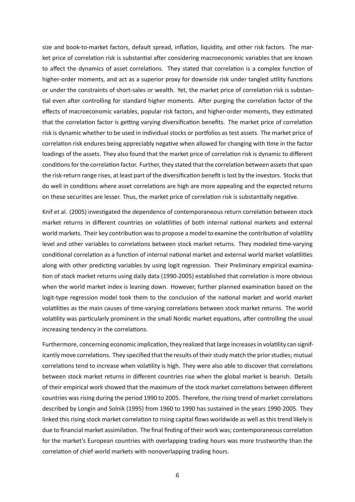size and book-to-market factors, default spread, inflation, liquidity, and other risk factors. The market price of correlation risk is substantial after considering macroeconomic variables that are known to affect the dynamics of asset correlations. They stated that correlation is a complex function of higher-order moments, and act as a superior proxy for downside risk under tangled utility functions or under the constraints of short-sales or wealth. Yet, the market price of correlation risk is substantial even after controlling for standard higher moments. After purging the correlation factor of the effects of macroeconomic variables, popular risk factors, and higher-order moments, they estimated that the correlation factor is getting varying diversification benefits. The market price of correlation risk is dynamic whether to be used in individual stocks or portfolios as test assets. The market price of correlation risk endures being appreciably negative when allowed for changing with time in the factor loadings of the assets. They also found that the market price of correlation risk is dynamic to different conditions for the correlation factor. Further, they stated that the correlation between assets that span the risk-return range rises, at least part of the diversification benefit is lost by the investors. Stocks that do well in conditions where asset correlations are high are more appealing and the expected returns on these securities are lesser. Thus, the market price of correlation risk is substantially negative.

Knif et al. (2005) investigated the dependence of contemporaneous return correlation between stock market returns in different countries on volatilities of both internal national markets and external world markets. Their key contribution was to propose a model to examine the contribution of volatility level and other variables to correlations between stock market returns. They modeled time-varying conditional correlation as a function of internal national market and external world market volatilities along with other predicting variables by using logit regression. Their Preliminary empirical examination of stock market returns using daily data (1990-2005) established that correlation is more obvious when the world market index is leaning down. However, further planned examination based on the logit-type regression model took them to the conclusion of the national market and world market volatilities as the main causes of time-varying correlations between stock market returns. The world volatility was particularly prominent in the small Nordic market equations, after controlling the usual increasing tendency in the correlations.

<span id="page-9-0"></span>Furthermore, concerning economic implication, they realized that large increases in volatility can significantly move correlations. They specified that the results of their study match the prior studies; mutual correlations tend to increase when volatility is high. They were also able to discover that correlations between stock market returns in different countries rise when the global market is bearish. Details of their empirical work showed that the maximum of the stock market correlations between different countries was rising during the period 1990 to 2005. Therefore, the rising trend of market correlations described by Longin and Solnik (1995) from 1960 to 1990 has sustained in the years 1990-2005. They linked this rising stock market correlation to rising capital flows worldwide as well as this trend likely is due to financial market assimilation. The final finding of their work was; contemporaneous correlation for the market's European countries with overlapping trading hours was more trustworthy than the correlation of chief world markets with nonoverlapping trading hours.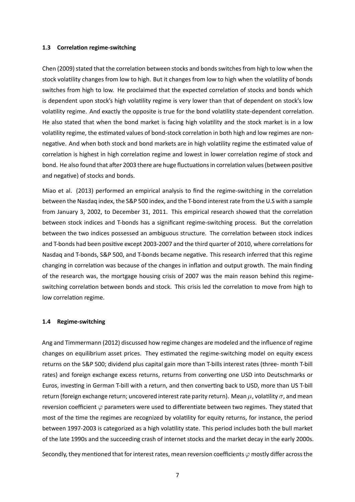#### **1.3 CorrelaƟon regime-switching**

Chen (2009) stated that the correlation between stocks and bonds switches from high to low when the stock volatility changes from low to high. But it changes from low to high when the volatility of bonds switches from high to low. He proclaimed that the expected correlation of stocks and bonds which is dependent upon stock's high volatility regime is very lower than that of dependent on stock's low volatility regime. And exactly the opposite is true for the bond volatility state-dependent correlation. He also stated that when the bond market is facing high volatility and the stock market is in a low volatility regime, the estimated values of bond-stock correlation in both high and low regimes are nonnegative. And when both stock and bond markets are in high volatility regime the estimated value of correlation is highest in high correlation regime and lowest in lower correlation regime of stock and bond. He also found that after 2003 there are huge fluctuations in correlation values (between positive and negative) of stocks and bonds.

Miao et al. (2013) performed an empirical analysis to find the regime-switching in the correlation between the Nasdaq index, the S&P 500 index, and the T-bond interest rate from the U.S with a sample from January 3, 2002, to December 31, 2011. This empirical research showed that the correlation between stock indices and T-bonds has a significant regime-switching process. But the correlation between the two indices possessed an ambiguous structure. The correlation between stock indices and T-bonds had been positive except 2003-2007 and the third quarter of 2010, where correlations for Nasdaq and T-bonds, S&P 500, and T-bonds became negative. This research inferred that this regime changing in correlation was because of the changes in inflation and output growth. The main finding of the research was, the mortgage housing crisis of 2007 was the main reason behind this regimeswitching correlation between bonds and stock. This crisis led the correlation to move from high to low correlation regime.

#### <span id="page-10-0"></span>**1.4 Regime-switching**

Ang and Timmermann (2012) discussed how regime changes are modeled and the influence of regime changes on equilibrium asset prices. They estimated the regime-switching model on equity excess returns on the S&P 500; dividend plus capital gain more than T-bills interest rates (three- month T-bill rates) and foreign exchange excess returns, returns from converting one USD into Deutschmarks or Euros, investing in German T-bill with a return, and then converting back to USD, more than US T-bill return (foreign exchange return; uncovered interest rate parity return). Mean  $\mu$ , volatility  $\sigma$ , and mean reversion coefficient  $\varphi$  parameters were used to differentiate between two regimes. They stated that most of the time the regimes are recognized by volatility for equity returns, for instance, the period between 1997-2003 is categorized as a high volatility state. This period includes both the bull market of the late 1990s and the succeeding crash of internet stocks and the market decay in the early 2000s.

Secondly, they mentioned that for interest rates, mean reversion coefficients  $\varphi$  mostly differ across the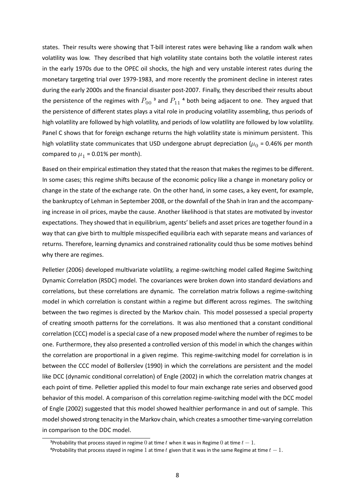states. Their results were showing that T-bill interest rates were behaving like a random walk when volatility was low. They described that high volatility state contains both the volatile interest rates in the early 1970s due to the OPEC oil shocks, the high and very unstable interest rates during the monetary targeting trial over 1979-1983, and more recently the prominent decline in interest rates during the early 2000s and the financial disaster post-2007. Finally, they described their results about the persistence of the regimes with  $P_{00}$ <sup>3</sup> and  $P_{11}$ <sup>4</sup> both being adjacent to one. They argued that the persistence of different states plays a vital role in producing volatility assembling, thus periods of high volatility are followed by high volatility, and periods of low volatility are followed by low volatility. Panel C shows that for foreign exchange returns the high volatility state is minimum persistent. This high volatility state communicates that USD undergone abrupt depreciation ( $\mu_{0}$  = 0.46% per month compared to  $\mu_1$  = 0.01% per month).

Based on their empirical estimation they stated that the reason that makes the regimes to be different. In some cases; this regime shifts because of the economic policy like a change in monetary policy or change in the state of the exchange rate. On the other hand, in some cases, a key event, for example, the bankruptcy of Lehman in September 2008, or the downfall of the Shah in Iran and the accompanying increase in oil prices, maybe the cause. Another likelihood is that states are motivated by investor expectations. They showed that in equilibrium, agents' beliefs and asset prices are together found in a way that can give birth to multiple misspecified equilibria each with separate means and variances of returns. Therefore, learning dynamics and constrained rationality could thus be some motives behind why there are regimes.

Pelletier (2006) developed multivariate volatility, a regime-switching model called Regime Switching Dynamic Correlation (RSDC) model. The covariances were broken down into standard deviations and correlations, but these correlations are dynamic. The correlation matrix follows a regime-switching model in which correlation is constant within a regime but different across regimes. The switching between the two regimes is directed by the Markov chain. This model possessed a special property of creating smooth patterns for the correlations. It was also mentioned that a constant conditional correlation (CCC) model is a special case of a new proposed model where the number of regimes to be one. Furthermore, they also presented a controlled version of this model in which the changes within the correlation are proportional in a given regime. This regime-switching model for correlation is in between the CCC model of Bollerslev (1990) in which the correlations are persistent and the model like DCC (dynamic conditional correlation) of Engle (2002) in which the correlation matrix changes at each point of time. Pelletier applied this model to four main exchange rate series and observed good behavior of this model. A comparison of this correlation regime-switching model with the DCC model of Engle (2002) suggested that this model showed healthier performance in and out of sample. This model showed strong tenacity in the Markov chain, which creates a smoother time-varying correlation in comparison to the DDC model.

<sup>&</sup>lt;sup>3</sup>Probability that process stayed in regime 0 at time t when it was in Regime 0 at time  $t-1$ .

 $^4$ Probability that process stayed in regime 1 at time  $t$  given that it was in the same Regime at time  $t-1$ .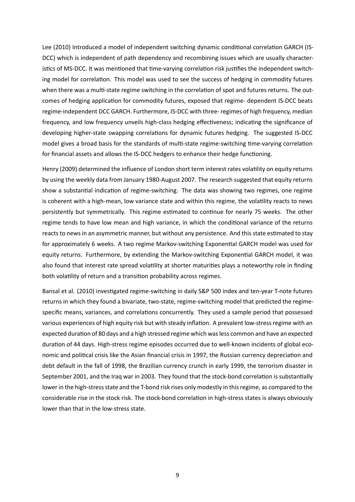Lee (2010) Introduced a model of independent switching dynamic conditional correlation GARCH (IS-DCC) which is independent of path dependency and recombining issues which are usually characteristics of MS-DCC. It was mentioned that time-varying correlation risk justifies the independent switching model for correlation. This model was used to see the success of hedging in commodity futures when there was a multi-state regime switching in the correlation of spot and futures returns. The outcomes of hedging application for commodity futures, exposed that regime- dependent IS-DCC beats regime-independent DCC GARCH. Furthermore, IS-DCC with three- regimes of high frequency, median frequency, and low frequency unveils high-class hedging effectiveness; indicating the significance of developing higher-state swapping correlations for dynamic futures hedging. The suggested IS-DCC model gives a broad basis for the standards of multi-state regime-switching time-varying correlation for financial assets and allows the IS-DCC hedgers to enhance their hedge functioning.

Henry (2009) determined the influence of London short term interest rates volatility on equity returns by using the weekly data from January 1980-August 2007. The research suggested that equity returns show a substantial indication of regime-switching. The data was showing two regimes, one regime is coherent with a high-mean, low variance state and within this regime, the volatility reacts to news persistently but symmetrically. This regime estimated to continue for nearly 75 weeks. The other regime tends to have low mean and high variance, in which the conditional variance of the returns reacts to news in an asymmetric manner, but without any persistence. And this state estimated to stay for approximately 6 weeks. A two regime Markov-switching Exponential GARCH model was used for equity returns. Furthermore, by extending the Markov-switching Exponential GARCH model, it was also found that interest rate spread volatility at shorter maturities plays a noteworthy role in finding both volatility of return and a transition probability across regimes.

<span id="page-12-0"></span>Bansal et al. (2010) investigated regime-switching in daily S&P 500 index and ten-year T-note futures returns in which they found a bivariate, two-state, regime-switching model that predicted the regimespecific means, variances, and correlations concurrently. They used a sample period that possessed various experiences of high equity risk but with steady inflation. A prevalent low-stress regime with an expected duration of 80 days and a high stressed regime which was less common and have an expected duration of 44 days. High-stress regime episodes occurred due to well-known incidents of global economic and political crisis like the Asian financial crisis in 1997, the Russian currency depreciation and debt default in the fall of 1998, the Brazilian currency crunch in early 1999, the terrorism disaster in September 2001, and the Iraq war in 2003. They found that the stock-bond correlation is substantially lower in the high-stress state and the T-bond risk rises only modestly in this regime, as compared to the considerable rise in the stock risk. The stock-bond correlation in high-stress states is always obviously lower than that in the low-stress state.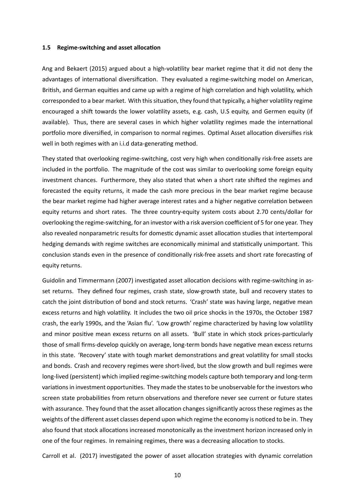#### **1.5** Regime-switching and asset allocation

Ang and Bekaert (2015) argued about a high-volatility bear market regime that it did not deny the advantages of international diversification. They evaluated a regime-switching model on American, British, and German equities and came up with a regime of high correlation and high volatility, which corresponded to a bear market. With this situation, they found that typically, a higher volatility regime encouraged a shift towards the lower volatility assets, e.g. cash, U.S equity, and Germen equity (if available). Thus, there are several cases in which higher volatility regimes made the international portfolio more diversified, in comparison to normal regimes. Optimal Asset allocation diversifies risk well in both regimes with an i.i.d data-generating method.

They stated that overlooking regime-switching, cost very high when conditionally risk-free assets are included in the portfolio. The magnitude of the cost was similar to overlooking some foreign equity investment chances. Furthermore, they also stated that when a short rate shifted the regimes and forecasted the equity returns, it made the cash more precious in the bear market regime because the bear market regime had higher average interest rates and a higher negative correlation between equity returns and short rates. The three country-equity system costs about 2.70 cents/dollar for overlooking the regime-switching, for an investor with a risk aversion coefficient of 5 for one year. They also revealed nonparametric results for domestic dynamic asset allocation studies that intertemporal hedging demands with regime switches are economically minimal and statistically unimportant. This conclusion stands even in the presence of conditionally risk-free assets and short rate forecasting of equity returns.

Guidolin and Timmermann (2007) investigated asset allocation decisions with regime-switching in asset returns. They defined four regimes, crash state, slow-growth state, bull and recovery states to catch the joint distribution of bond and stock returns. 'Crash' state was having large, negative mean excess returns and high volatility. It includes the two oil price shocks in the 1970s, the October 1987 crash, the early 1990s, and the 'Asian flu'. 'Low growth' regime characterized by having low volatility and minor positive mean excess returns on all assets. 'Bull' state in which stock prices-particularly those of small firms-develop quickly on average, long-term bonds have negative mean excess returns in this state. 'Recovery' state with tough market demonstrations and great volatility for small stocks and bonds. Crash and recovery regimes were short-lived, but the slow growth and bull regimes were long-lived (persistent) which implied regime-switching models capture both temporary and long-term variations in investment opportunities. They made the states to be unobservable for the investors who screen state probabilities from return observations and therefore never see current or future states with assurance. They found that the asset allocation changes significantly across these regimes as the weights of the different asset classes depend upon which regime the economy is noticed to be in. They also found that stock allocations increased monotonically as the investment horizon increased only in one of the four regimes. In remaining regimes, there was a decreasing allocation to stocks.

Carroll et al. (2017) investigated the power of asset allocation strategies with dynamic correlation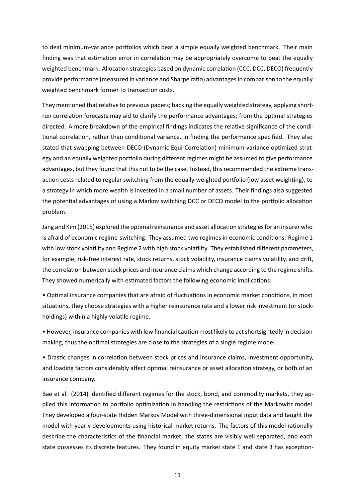to deal minimum-variance portfolios which beat a simple equally weighted benchmark. Their main finding was that estimation error in correlation may be appropriately overcome to beat the equally weighted benchmark. Allocation strategies based on dynamic correlation (CCC, DCC, DECO) frequently provide performance (measured in variance and Sharpe ratio) advantages in comparison to the equally weighted benchmark former to transaction costs.

They mentioned that relative to previous papers; backing the equally weighted strategy, applying shortrun correlation forecasts may aid to clarify the performance advantages; from the optimal strategies directed. A more breakdown of the empirical findings indicates the relative significance of the conditional correlation, rather than conditional variance, in finding the performance specified. They also stated that swapping between DECO (Dynamic Equi-Correlation) minimum-variance optimized strategy and an equally weighted portfolio during different regimes might be assumed to give performance advantages, but they found that this not to be the case. Instead, this recommended the extreme transaction costs related to regular switching from the equally-weighted portfolio (low asset weighting), to a strategy in which more wealth is invested in a small number of assets. Their findings also suggested the potential advantages of using a Markov switching DCC or DECO model to the portfolio allocation problem.

Jang and Kim (2015) explored the optimal reinsurance and asset allocation strategies for an insurer who is afraid of economic regime-switching. They assumed two regimes in economic conditions: Regime 1 with low stock volatility and Regime 2 with high stock volatility. They established different parameters, for example, risk-free interest rate, stock returns, stock volatility, insurance claims volatility, and drift, the correlation between stock prices and insurance claims which change according to the regime shifts. They showed numerically with estimated factors the following economic implications:

• Optimal insurance companies that are afraid of fluctuations in economic market conditions, in most situations, they choose strategies with a higher reinsurance rate and a lower risk investment (or stockholdings) within a highly volatile regime.

• However, insurance companies with low financial caution most likely to act shortsightedly in decision making, thus the optimal strategies are close to the strategies of a single regime model.

• Drastic changes in correlation between stock prices and insurance claims, investment opportunity, and loading factors considerably affect optimal reinsurance or asset allocation strategy, or both of an insurance company.

Bae et al. (2014) identified different regimes for the stock, bond, and commodity markets, they applied this information to portfolio optimization in handling the restrictions of the Markowitz model. They developed a four-state Hidden Markov Model with three-dimensional input data and taught the model with yearly developments using historical market returns. The factors of this model rationally describe the characteristics of the financial market; the states are visibly well separated, and each state possesses its discrete features. They found in equity market state 1 and state 3 has exception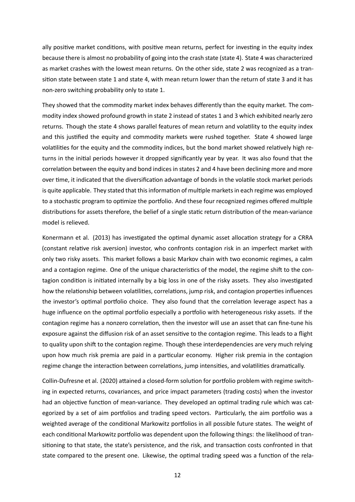ally positive market conditions, with positive mean returns, perfect for investing in the equity index because there is almost no probability of going into the crash state (state 4). State 4 was characterized as market crashes with the lowest mean returns. On the other side, state 2 was recognized as a transition state between state 1 and state 4, with mean return lower than the return of state 3 and it has non-zero switching probability only to state 1.

They showed that the commodity market index behaves differently than the equity market. The commodity index showed profound growth in state 2 instead of states 1 and 3 which exhibited nearly zero returns. Though the state 4 shows parallel features of mean return and volatility to the equity index and this justified the equity and commodity markets were rushed together. State 4 showed large volatilities for the equity and the commodity indices, but the bond market showed relatively high returns in the initial periods however it dropped significantly year by year. It was also found that the correlation between the equity and bond indices in states 2 and 4 have been declining more and more over time, it indicated that the diversification advantage of bonds in the volatile stock market periods is quite applicable. They stated that this information of multiple markets in each regime was employed to a stochastic program to optimize the portfolio. And these four recognized regimes offered multiple distributions for assets therefore, the belief of a single static return distribution of the mean-variance model is relieved.

Konermann et al. (2013) has investigated the optimal dynamic asset allocation strategy for a CRRA (constant relative risk aversion) investor, who confronts contagion risk in an imperfect market with only two risky assets. This market follows a basic Markov chain with two economic regimes, a calm and a contagion regime. One of the unique characteristics of the model, the regime shift to the contagion condition is initiated internally by a big loss in one of the risky assets. They also investigated how the relationship between volatilities, correlations, jump risk, and contagion properties influences the investor's optimal portfolio choice. They also found that the correlation leverage aspect has a huge influence on the optimal portfolio especially a portfolio with heterogeneous risky assets. If the contagion regime has a nonzero correlation, then the investor will use an asset that can fine-tune his exposure against the diffusion risk of an asset sensitive to the contagion regime. This leads to a flight to quality upon shift to the contagion regime. Though these interdependencies are very much relying upon how much risk premia are paid in a particular economy. Higher risk premia in the contagion regime change the interaction between correlations, jump intensities, and volatilities dramatically.

Collin-Dufresne et al. (2020) attained a closed-form solution for portfolio problem with regime switching in expected returns, covariances, and price impact parameters (trading costs) when the investor had an objective function of mean-variance. They developed an optimal trading rule which was categorized by a set of aim portfolios and trading speed vectors. Particularly, the aim portfolio was a weighted average of the conditional Markowitz portfolios in all possible future states. The weight of each conditional Markowitz portfolio was dependent upon the following things: the likelihood of transitioning to that state, the state's persistence, and the risk, and transaction costs confronted in that state compared to the present one. Likewise, the optimal trading speed was a function of the rela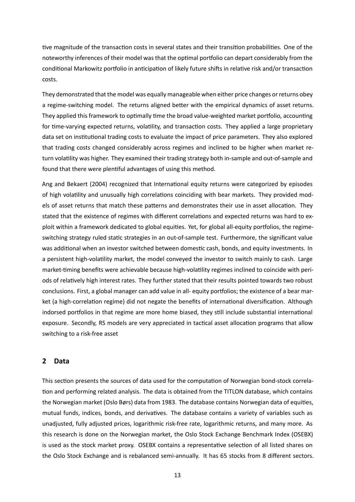tive magnitude of the transaction costs in several states and their transition probabilities. One of the noteworthy inferences of their model was that the optimal portfolio can depart considerably from the conditional Markowitz portfolio in anticipation of likely future shifts in relative risk and/or transaction costs.

They demonstrated that the model was equally manageable when either price changes or returns obey a regime-switching model. The returns aligned better with the empirical dynamics of asset returns. They applied this framework to optimally time the broad value-weighted market portfolio, accounting for time-varying expected returns, volatility, and transaction costs. They applied a large proprietary data set on institutional trading costs to evaluate the impact of price parameters. They also explored that trading costs changed considerably across regimes and inclined to be higher when market return volatility was higher. They examined their trading strategy both in-sample and out-of-sample and found that there were plentiful advantages of using this method.

Ang and Bekaert (2004) recognized that International equity returns were categorized by episodes of high volatility and unusually high correlations coinciding with bear markets. They provided models of asset returns that match these patterns and demonstrates their use in asset allocation. They stated that the existence of regimes with different correlations and expected returns was hard to exploit within a framework dedicated to global equities. Yet, for global all-equity portfolios, the regimeswitching strategy ruled static strategies in an out-of-sample test. Furthermore, the significant value was additional when an investor switched between domestic cash, bonds, and equity investments. In a persistent high-volatility market, the model conveyed the investor to switch mainly to cash. Large market-timing benefits were achievable because high-volatility regimes inclined to coincide with periods of relatively high interest rates. They further stated that their results pointed towards two robust conclusions. First, a global manager can add value in all- equity portfolios; the existence of a bear market (a high-correlation regime) did not negate the benefits of international diversification. Although indorsed portfolios in that regime are more home biased, they still include substantial international exposure. Secondly, RS models are very appreciated in tactical asset allocation programs that allow switching to a risk-free asset

#### <span id="page-16-0"></span>**2 Data**

This section presents the sources of data used for the computation of Norwegian bond-stock correlation and performing related analysis. The data is obtained from the TITLON database, which contains the Norwegian market (Oslo Børs) data from 1983. The database contains Norwegian data of equities, mutual funds, indices, bonds, and derivatives. The database contains a variety of variables such as unadjusted, fully adjusted prices, logarithmic risk-free rate, logarithmic returns, and many more. As this research is done on the Norwegian market, the Oslo Stock Exchange Benchmark Index (OSEBX) is used as the stock market proxy. OSEBX contains a representative selection of all listed shares on the Oslo Stock Exchange and is rebalanced semi-annually. It has 65 stocks from 8 different sectors.

13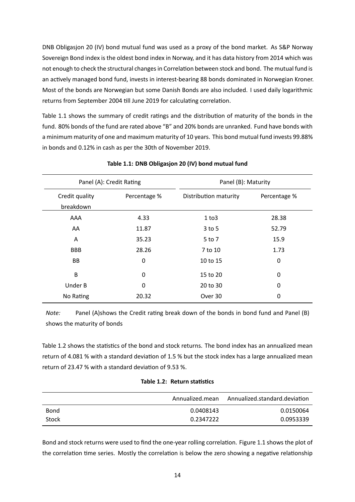DNB Obligasjon 20 (IV) bond mutual fund was used as a proxy of the bond market. As S&P Norway Sovereign Bond index is the oldest bond index in Norway, and it has data history from 2014 which was not enough to check the structural changes in Correlation between stock and bond. The mutual fund is an actively managed bond fund, invests in interest-bearing 88 bonds dominated in Norwegian Kroner. Most of the bonds are Norwegian but some Danish Bonds are also included. I used daily logarithmic returns from September 2004 till June 2019 for calculating correlation.

Table 1.1 shows the summary of credit ratings and the distribution of maturity of the bonds in the fund. 80% bonds of the fund are rated above "B" and 20% bonds are unranked. Fund have bonds with a minimum maturity of one and maximum maturity of 10 years. This bond mutual fund invests 99.88% in bo[nds a](#page-17-0)nd 0.12% in cash as per the 30th of November 2019.

<span id="page-17-0"></span>

| Panel (A): Credit Rating    |              | Panel (B): Maturity   |              |
|-----------------------------|--------------|-----------------------|--------------|
| Credit quality<br>breakdown | Percentage % | Distribution maturity | Percentage % |
| AAA                         | 4.33         | 1 to 3                | 28.38        |
| AA                          | 11.87        | $3$ to 5              | 52.79        |
| A                           | 35.23        | 5 to 7                | 15.9         |
| <b>BBB</b>                  | 28.26        | 7 to 10               | 1.73         |
| BB                          | 0            | 10 to 15              | 0            |
| B                           | 0            | 15 to 20              | 0            |
| Under B                     | 0            | 20 to 30              | 0            |
| No Rating                   | 20.32        | Over 30               | 0            |

#### **Table 1.1: DNB Obligasjon 20 (IV) bond mutual fund**

*Note:* Panel (A)shows the Credit rating break down of the bonds in bond fund and Panel (B) shows the maturity of bonds

Table 1.2 shows the statistics of the bond and stock returns. The bond index has an annualized mean return of 4.081 % with a standard deviation of 1.5 % but the stock index has a large annualized mean return of 23.47 % with a standard deviation of 9.53 %.

|  |  |  | Table 1.2: Return statistics |
|--|--|--|------------------------------|
|--|--|--|------------------------------|

<span id="page-17-1"></span>

|       | Annualized.mean | Annualized.standard.deviation |
|-------|-----------------|-------------------------------|
| Bond  | 0.0408143       | 0.0150064                     |
| Stock | 0.2347222       | 0.0953339                     |

Bond and stock returns were used to find the one-year rolling correlation. Figure 1.1 shows the plot of the correlation time series. Mostly the correlation is below the zero showing a negative relationship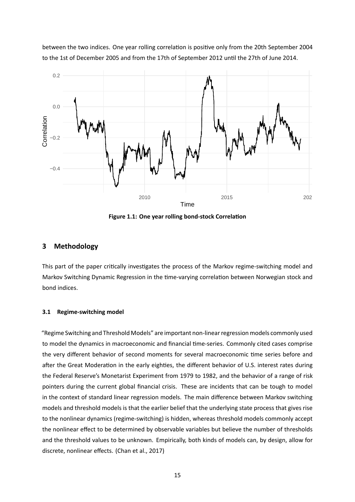between the two indices. One year rolling correlation is positive only from the 20th September 2004 to the 1st of December 2005 and from the 17th of September 2012 until the 27th of June 2014.

<span id="page-18-2"></span>

**Figure 1.1: One year rolling bond-stock Correlation** 

#### <span id="page-18-0"></span>**3 Methodology**

This part of the paper critically investigates the process of the Markov regime-switching model and Markov Switching Dynamic Regression in the time-varying correlation between Norwegian stock and bond indices.

#### <span id="page-18-1"></span>**3.1 Regime-switching model**

"Regime Switching and Threshold Models" are important non-linear regression models commonly used to model the dynamics in macroeconomic and financial time-series. Commonly cited cases comprise the very different behavior of second moments for several macroeconomic time series before and after the Great Moderation in the early eighties, the different behavior of U.S. interest rates during the Federal Reserve's Monetarist Experiment from 1979 to 1982, and the behavior of a range of risk pointers during the current global financial crisis. These are incidents that can be tough to model in the context of standard linear regression models. The main difference between Markov switching models and threshold models is that the earlier belief that the underlying state process that gives rise to the nonlinear dynamics (regime-switching) is hidden, whereas threshold models commonly accept the nonlinear effect to be determined by observable variables but believe the number of thresholds and the threshold values to be unknown. Empirically, both kinds of models can, by design, allow for discrete, nonlinear effects. (Chan et al., 2017)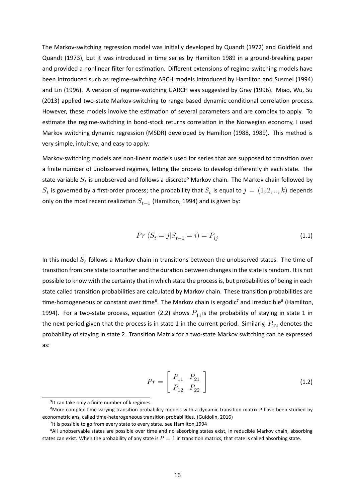The Markov-switching regression model was initially developed by Quandt (1972) and Goldfeld and Quandt (1973), but it was introduced in time series by Hamilton 1989 in a ground-breaking paper and provided a nonlinear filter for estimation. Different extensions of regime-switching models have been introduced such as regime-switching ARCH models introduced by Hamilton and Susmel (1994) and Lin (1996). A version of regime-switching GARCH was suggested by Gray (1996). Miao, Wu, Su (2013) applied two-state Markov-switching to range based dynamic conditional correlation process. However, these models involve the estimation of several parameters and are complex to apply. To estimate the regime-switching in bond-stock returns correlation in the Norwegian economy, I used Markov switching dynamic regression (MSDR) developed by Hamilton (1988, 1989). This method is very simple, intuitive, and easy to apply.

Markov-switching models are non-linear models used for series that are supposed to transition over a finite number of unobserved regimes, letting the process to develop differently in each state. The state variable  $S_t$  is unobserved and follows a discrete<sup>5</sup> Markov chain. The Markov chain followed by  $S_t$  is governed by a first-order process; the probability that  $S_t$  is equal to  $j=(1,2,..,k)$  depends only on the most recent realization  $S_{t-1}$  (Hamilton, 1994) and is given by:

$$
Pr(S_t = j | S_{t-1} = i) = P_{ij}
$$
\n(1.1)

In this model  $S_t$  follows a Markov chain in transitions between the unobserved states. The time of transition from one state to another and the duration between changes in the state is random. It is not possible to know with the certainty that in which state the process is, but probabilities of being in each state called transition probabilities are calculated by Markov chain. These transition probabilities are time-homogeneous or constant over time<sup>6</sup>. The Markov chain is ergodic<sup>7</sup> and irreducible<sup>8</sup> (Hamilton, 1994). For a two-state process, equation (2.2) shows  $P_{11}$  is the probability of staying in state 1 in the next period given that the process is in state 1 in the current period. Similarly,  $P_{22}$  denotes the probability of staying in state 2. Transition Matrix for a two-state Markov switching can be expressed as:

$$
Pr = \left[ \begin{array}{cc} P_{11} & P_{21} \\ P_{12} & P_{22} \end{array} \right] \tag{1.2}
$$

<sup>&</sup>lt;sup>5</sup> It can take only a finite number of k regimes.

<sup>&</sup>lt;sup>6</sup>More complex time-varying transition probability models with a dynamic transition matrix P have been studied by econometricians, called time-heterogeneous transition probabilities. (Guidolin, 2016)

<sup>&</sup>lt;sup>7</sup>It is possible to go from every state to every state. see Hamilton, 1994

<sup>&</sup>lt;sup>8</sup>All unobservable states are possible over time and no absorbing states exist, in reducible Markov chain, absorbing states can exist. When the probability of any state is  $P=1$  in transition matrics, that state is called absorbing state.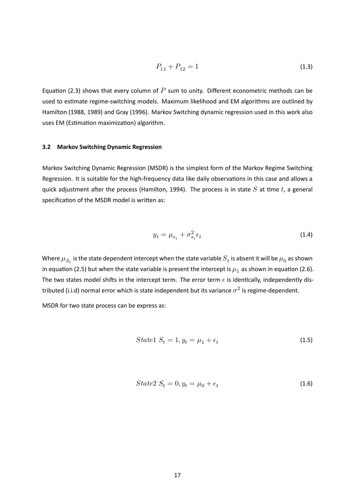$$
P_{11} + P_{12} = 1 \tag{1.3}
$$

Equation (2.3) shows that every column of  $P$  sum to unity. Different econometric methods can be used to estimate regime-switching models. Maximum likelihood and EM algorithms are outlined by Hamilton (1988, 1989) and Gray (1996). Markov Switching dynamic regression used in this work also uses EM (Estimation maximization) algorithm.

#### **3.2 Markov Switching Dynamic Regression**

<span id="page-20-0"></span>Markov Switching Dynamic Regression (MSDR) is the simplest form of the Markov Regime Switching Regression. It is suitable for the high-frequency data like daily observations in this case and allows a quick adjustment after the process (Hamilton, 1994). The process is in state  $S$  at time  $t$ , a general specification of the MSDR model is written as:

$$
y_t = \mu_{s_t} + \sigma_{s_t}^2 \epsilon_t \tag{1.4}
$$

Where  $\mu_{S_t}$  is the state dependent intercept when the state variable  $S_t$  is absent it will be  $\mu_0$  as shown in equation (2.5) but when the state variable is present the intercept is  $\mu_1$  as shown in equation (2.6). The two states model shifts in the intercept term. The error term  $\epsilon$  is identically, independently distributed (i.i.d) normal error which is state independent but its variance  $\sigma^2$  is regime-dependent.

MSDR for tw[o st](#page-31-1)ate process can be express as:

$$
State1 S_t = 1, y_t = \mu_1 + \epsilon_t \tag{1.5}
$$

<span id="page-20-1"></span>
$$
State2 S_t = 0, y_t = \mu_0 + \epsilon_t \tag{1.6}
$$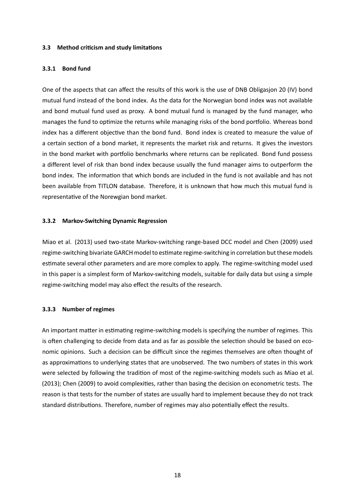#### **3.3 Method criƟcism and study limitaƟons**

#### **3.3.1 Bond fund**

One of the aspects that can affect the results of this work is the use of DNB Obligasion 20 (IV) bond mutual fund instead of the bond index. As the data for the Norwegian bond index was not available and bond mutual fund used as proxy. A bond mutual fund is managed by the fund manager, who manages the fund to optimize the returns while managing risks of the bond portfolio. Whereas bond index has a different objective than the bond fund. Bond index is created to measure the value of a certain section of a bond market, it represents the market risk and returns. It gives the investors in the bond market with portfolio benchmarks where returns can be replicated. Bond fund possess a diīerent level of risk than bond index because usually the fund manager aims to outperform the bond index. The information that which bonds are included in the fund is not available and has not been available from TITLON database. Therefore, it is unknown that how much this mutual fund is representative of the Norewgian bond market.

#### **3.3.2 Markov-Switching Dynamic Regression**

Miao et al. (2013) used two-state Markov-switching range-based DCC model and Chen (2009) used regime-switching bivariate GARCH model to estimate regime-switching in correlation but these models estimate several other parameters and are more complex to apply. The regime-switching model used in this paper is a simplest form of Markov-switching models, suitable for daily data but using a simple regime-switching model may also effect the results of the research.

#### <span id="page-21-0"></span>**3.3.3 Number of regimes**

An important matter in estimating regime-switching models is specifying the number of regimes. This is often challenging to decide from data and as far as possible the selection should be based on economic opinions. Such a decision can be difficult since the regimes themselves are often thought of as approximations to underlying states that are unobserved. The two numbers of states in this work were selected by following the tradition of most of the regime-switching models such as Miao et al. (2013); Chen (2009) to avoid complexities, rather than basing the decision on econometric tests. The reason is that tests for the number of states are usually hard to implement because they do not track standard distributions. Therefore, number of regimes may also potentially effect the results.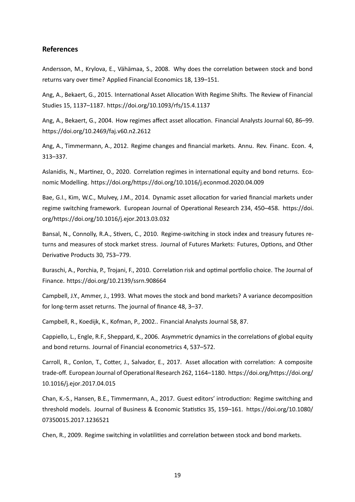#### **References**

Andersson, M., Krylova, E., Vähämaa, S., 2008. Why does the correlation between stock and bond returns vary over time? Applied Financial Economics 18, 139-151.

Ang, A., Bekaert, G., 2015. International Asset Allocation With Regime Shifts. The Review of Financial Studies 15, 1137–1187. https://doi.org/10.1093/rfs/15.4.1137

Ang, A., Bekaert, G., 2004. How regimes affect asset allocation. Financial Analysts Journal 60, 86–99. https://doi.org/10.2469[/faj.v60.n2.2612](https://doi.org/10.1093/rfs/15.4.1137)

Ang, A., Timmermann, A., 2012. Regime changes and financial markets. Annu. Rev. Financ. Econ. 4, [313–337.](https://doi.org/10.2469/faj.v60.n2.2612)

Aslanidis, N., Martinez, O., 2020. Correlation regimes in international equity and bond returns. Economic Modelling. https://doi.org/https://doi.org/10.1016/j.econmod.2020.04.009

Bae, G.I., Kim, W.C., Mulvey, J.M., 2014. Dynamic asset allocation for varied financial markets under regime switching framework. European Journal of Operational Research 234, 450-458. https://doi. org/https://doi.org/10.1016/j.ejor.2013.03.032

Bansal, N., Connolly, R.A., Stivers, C., 2010. Regime-switching in stock index and treasur[y futures re](https://doi.org/https://doi.org/10.1016/j.ejor.2013.03.032)[turns and measures of stock market stress. Jour](https://doi.org/https://doi.org/10.1016/j.ejor.2013.03.032)nal of Futures Markets: Futures, Options, and Other Derivative Products 30, 753-779.

Buraschi, A., Porchia, P., Trojani, F., 2010. Correlation risk and optimal portfolio choice. The Journal of Finance. https://doi.org/10.2139/ssrn.908664

Campbell, J.Y., Ammer, J., 1993. What moves the stock and bond markets? A variance decomposition for long-term asset returns. The journal of finance 48, 3-37.

Campbell, R., Koedijk, K., Kofman, P., 2002.. Financial Analysts Journal 58, 87.

Cappiello, L., Engle, R.F., Sheppard, K., 2006. Asymmetric dynamics in the correlations of global equity and bond returns. Journal of Financial econometrics 4, 537–572.

Carroll, R., Conlon, T., Cotter, J., Salvador, E., 2017. Asset allocation with correlation: A composite trade-off. European Journal of Operational Research 262, 1164–1180. https://doi.org/https://doi.org/ 10.1016/j.ejor.2017.04.015

Chan, K.-S., Hansen, B.E., Timmermann, A., 2017. Guest editors' introduction: Regime switching and [threshold models. Journal](https://doi.org/https://doi.org/10.1016/j.ejor.2017.04.015) of Business & Economic Statistics 35, 159-161. https://doi.org/10.1080/ 07350015.2017.1236521

Chen, R., 2009. Regime switching in volatilities and correlation between sto[ck and bond markets.](https://doi.org/10.1080/07350015.2017.1236521)

19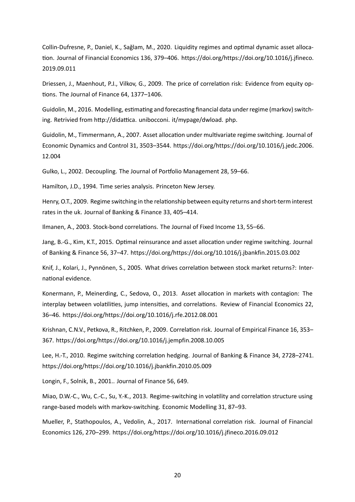Collin-Dufresne, P., Daniel, K., Sağlam, M., 2020. Liquidity regimes and optimal dynamic asset allocation. Journal of Financial Economics 136, 379-406. https://doi.org/https://doi.org/10.1016/j.jfineco. 2019.09.011

Driessen, J., Maenhout, P.J., Vilkov, G., 2009. The price of correlation risk: Evidence from equity options. The Journal of Finance 64, 1377-1406.

Guidolin, M., 2016. Modelling, estimating and forecasting financial data under regime (markov) switching. Retrivied from http://didattica. unibocconi. it/mypage/dwload. php.

Guidolin, M., Timmermann, A., 2007. Asset allocation under multivariate regime switching. Journal of Economic Dynamics and Control 31, 3503–3544. https://doi.org/https://doi.org/10.1016/j.jedc.2006. 12.004

Gulko, L., 2002. Decoupling. The Journal of Portfolio Management 28, 59-66.

[Hamilto](https://doi.org/https://doi.org/10.1016/j.jedc.2006.12.004)n, J.D., 1994. Time series analysis. Princeton New Jersey.

Henry, O.T., 2009. Regime switching in the relationship between equity returns and short-term interest rates in the uk. Journal of Banking & Finance 33, 405–414.

Ilmanen, A., 2003. Stock-bond correlations. The Journal of Fixed Income 13, 55-66.

Jang, B.-G., Kim, K.T., 2015. Optimal reinsurance and asset allocation under regime switching. Journal of Banking & Finance 56, 37–47. https://doi.org/https://doi.org/10.1016/j.jbankfin.2015.03.002

Knif, J., Kolari, J., Pynnönen, S., 2005. What drives correlation between stock market returns?: International evidence.

Konermann, P., Meinerding, C., Sedova, O., 2013. Asset allocation in markets with contagion: The interplay between volatilities, jump intensities, and correlations. Review of Financial Economics 22, 36–46. https://doi.org/https://doi.org/10.1016/j.rfe.2012.08.001

Krishnan, C.N.V., Petkova, R., Ritchken, P., 2009. Correlation risk. Journal of Empirical Finance 16, 353– 367. ht[tps://doi.org/https://doi.org/10.1016/j.jempfin.2008.10.00](https://doi.org/https://doi.org/10.1016/j.rfe.2012.08.001)5

Lee, H.-T., 2010. Regime switching correlation hedging. Journal of Banking & Finance 34, 2728–2741. http[s://doi.org/https://doi.org/10.1016/j.jbankfin.2010.05.009](https://doi.org/https://doi.org/10.1016/j.jempfin.2008.10.005)

Longin, F., Solnik, B., 2001.. Journal of Finance 56, 649.

[Miao, D.W.-C., Wu, C.-C., Su, Y.-K., 2013. Regime-switching in vo](https://doi.org/https://doi.org/10.1016/j.jbankfin.2010.05.009)latility and correlation structure using range-based models with markov-switching. Economic Modelling 31, 87–93.

Mueller, P., Stathopoulos, A., Vedolin, A., 2017. International correlation risk. Journal of Financial Economics 126, 270–299. https://doi.org/https://doi.org/10.1016/j.jfineco.2016.09.012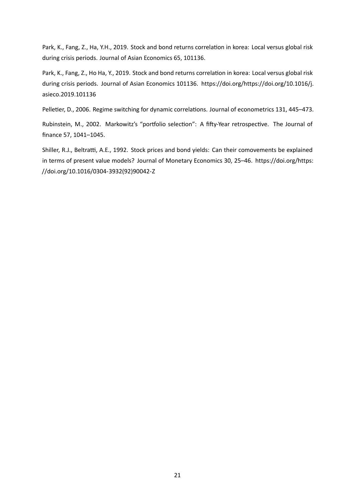Park, K., Fang, Z., Ha, Y.H., 2019. Stock and bond returns correlation in korea: Local versus global risk during crisis periods. Journal of Asian Economics 65, 101136.

Park, K., Fang, Z., Ho Ha, Y., 2019. Stock and bond returns correlation in korea: Local versus global risk during crisis periods. Journal of Asian Economics 101136. https://doi.org/https://doi.org/10.1016/j. asieco.2019.101136

Pelletier, D., 2006. Regime switching for dynamic correlations. Journal of econometrics 131, 445-473.

[Rubinstein, M., 200](https://doi.org/https://doi.org/10.1016/j.asieco.2019.101136)2. Markowitz's "portfolio selection": A fifty-Year retrospective. The Journal of finance 57, 1041-1045.

Shiller, R.J., Beltratti, A.E., 1992. Stock prices and bond yields: Can their comovements be explained in terms of present value models? Journal of Monetary Economics 30, 25–46. https://doi.org/https: //doi.org/10.1016/0304-3932(92)90042-Z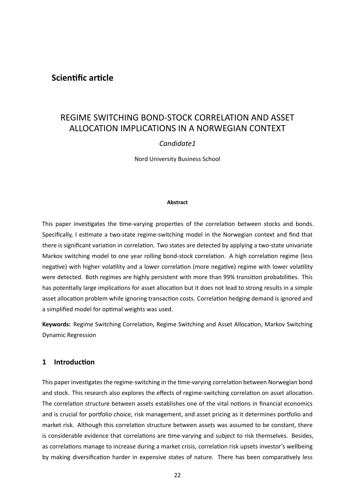#### <span id="page-25-0"></span>**Scientific article**

### REGIME SWITCHING BOND-STOCK CORRELATION AND ASSET ALLOCATION IMPLICATIONS IN A NORWEGIAN CONTEXT

#### *Candidate1*

Nord University Business School

#### **Abstract**

This paper investigates the time-varying properties of the correlation between stocks and bonds. Specifically, I estimate a two-state regime-switching model in the Norwegian context and find that there is significant variation in correlation. Two states are detected by applying a two-state univariate Markov switching model to one year rolling bond-stock correlation. A high correlation regime (less negative) with higher volatility and a lower correlation (more negative) regime with lower volatility were detected. Both regimes are highly persistent with more than 99% transition probabilities. This has potentially large implications for asset allocation but it does not lead to strong results in a simple asset allocation problem while ignoring transaction costs. Correlation hedging demand is ignored and a simplified model for optimal weights was used.

<span id="page-25-1"></span>**Keywords:** Regime Switching Correlation, Regime Switching and Asset Allocation, Markov Switching Dynamic Regression

#### **1 IntroducƟon**

This paper investigates the regime-switching in the time-varying correlation between Norwegian bond and stock. This research also explores the effects of regime-switching correlation on asset allocation. The correlation structure between assets establishes one of the vital notions in financial economics and is crucial for portfolio choice, risk management, and asset pricing as it determines portfolio and market risk. Although this correlation structure between assets was assumed to be constant, there is considerable evidence that correlations are time-varying and subject to risk themselves. Besides, as correlations manage to increase during a market crisis, correlation risk upsets investor's wellbeing by making diversification harder in expensive states of nature. There has been comparatively less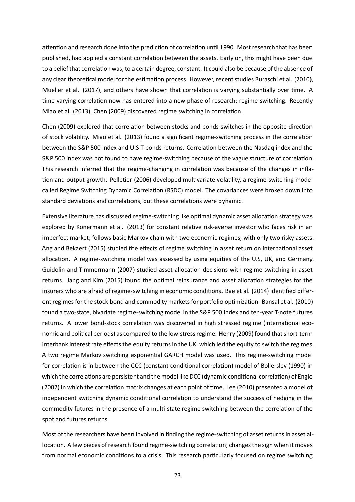attention and research done into the prediction of correlation until 1990. Most research that has been published, had applied a constant correlation between the assets. Early on, this might have been due to a belief that correlation was, to a certain degree, constant. It could also be because of the absence of any clear theoretical model for the estimation process. However, recent studies Buraschi et al. (2010), Mueller et al. (2017), and others have shown that correlation is varying substantially over time. A time-varying correlation now has entered into a new phase of research; regime-switching. Recently Miao et al. (2013), Chen (2009) discovered regime switching in correlation.

Chen (2009) explored that correlation between stocks and bonds switches in the opposite direction of stock volatility. Miao et al. (2013) found a significant regime-switching process in the correlation between the S&P 500 index and U.S T-bonds returns. Correlation between the Nasdaq index and the S&P 500 index was not found to have regime-switching because of the vague structure of correlation. This research inferred that the regime-changing in correlation was because of the changes in inflation and output growth. Pelletier (2006) developed multivariate volatility, a regime-switching model called Regime Switching Dynamic Correlation (RSDC) model. The covariances were broken down into standard deviations and correlations, but these correlations were dynamic.

Extensive literature has discussed regime-switching like optimal dynamic asset allocation strategy was explored by Konermann et al. (2013) for constant relative risk-averse investor who faces risk in an imperfect market; follows basic Markov chain with two economic regimes, with only two risky assets. Ang and Bekaert (2015) studied the effects of regime switching in asset return on international asset allocation. A regime-switching model was assessed by using equities of the U.S, UK, and Germany. Guidolin and Timmermann (2007) studied asset allocation decisions with regime-switching in asset returns. Jang and Kim (2015) found the optimal reinsurance and asset allocation strategies for the insurers who are afraid of regime-switching in economic conditions. Bae et al. (2014) identified different regimes for the stock-bond and commodity markets for portfolio optimization. Bansal et al. (2010) found a two-state, bivariate regime-switching model in the S&P 500 index and ten-year T-note futures returns. A lower bond-stock correlation was discovered in high stressed regime (international economic and political periods) as compared to the low-stress regime. Henry (2009) found that short-term interbank interest rate effects the equity returns in the UK, which led the equity to switch the regimes. A two regime Markov switching exponential GARCH model was used. This regime-switching model for correlation is in between the CCC (constant conditional correlation) model of Bollerslev (1990) in which the correlations are persistent and the model like DCC (dynamic conditional correlation) of Engle (2002) in which the correlation matrix changes at each point of time. Lee (2010) presented a model of independent switching dynamic conditional correlation to understand the success of hedging in the commodity futures in the presence of a multi-state regime switching between the correlation of the spot and futures returns.

Most of the researchers have been involved in finding the regime-switching of asset returns in asset allocation. A few pieces of research found regime-switching correlation; changes the sign when it moves from normal economic conditions to a crisis. This research particularly focused on regime switching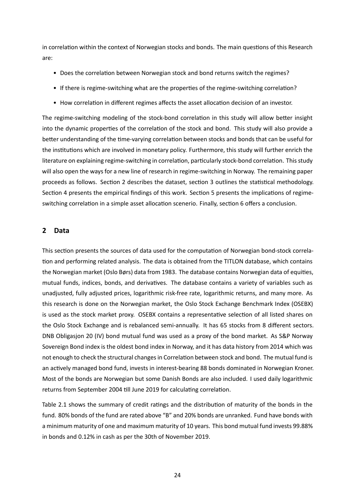in correlation within the context of Norwegian stocks and bonds. The main questions of this Research are:

- Does the correlation between Norwegian stock and bond returns switch the regimes?
- If there is regime-switching what are the properties of the regime-switching correlation?
- How correlation in different regimes affects the asset allocation decision of an investor.

The regime-switching modeling of the stock-bond correlation in this study will allow better insight into the dynamic properties of the correlation of the stock and bond. This study will also provide a better understanding of the time-varying correlation between stocks and bonds that can be useful for the institutions which are involved in monetary policy. Furthermore, this study will further enrich the literature on explaining regime-switching in correlation, particularly stock-bond correlation. This study will also open the ways for a new line of research in regime-switching in Norway. The remaining paper proceeds as follows. Section 2 describes the dataset, section 3 outlines the statistical methodology. Section 4 presents the empirical findings of this work. Section 5 presents the implications of regimeswitching correlation in a simple asset allocation scenerio. Finally, section 6 offers a conclusion.

#### <span id="page-27-0"></span>**2 Data**

This section presents the sources of data used for the computation of Norwegian bond-stock correlation and performing related analysis. The data is obtained from the TITLON database, which contains the Norwegian market (Oslo Børs) data from 1983. The database contains Norwegian data of equities, mutual funds, indices, bonds, and derivatives. The database contains a variety of variables such as unadjusted, fully adjusted prices, logarithmic risk-free rate, logarithmic returns, and many more. As this research is done on the Norwegian market, the Oslo Stock Exchange Benchmark Index (OSEBX) is used as the stock market proxy. OSEBX contains a representative selection of all listed shares on the Oslo Stock Exchange and is rebalanced semi-annually. It has 65 stocks from 8 different sectors. DNB Obligasjon 20 (IV) bond mutual fund was used as a proxy of the bond market. As S&P Norway Sovereign Bond index is the oldest bond index in Norway, and it has data history from 2014 which was not enough to check the structural changes in Correlation between stock and bond. The mutual fund is an actively managed bond fund, invests in interest-bearing 88 bonds dominated in Norwegian Kroner. Most of the bonds are Norwegian but some Danish Bonds are also included. I used daily logarithmic returns from September 2004 till June 2019 for calculating correlation.

Table 2.1 shows the summary of credit ratings and the distribution of maturity of the bonds in the fund. 80% bonds of the fund are rated above "B" and 20% bonds are unranked. Fund have bonds with a minimum maturity of one and maximum maturity of 10 years. This bond mutual fund invests 99.88% in bo[nds a](#page-28-0)nd 0.12% in cash as per the 30th of November 2019.

24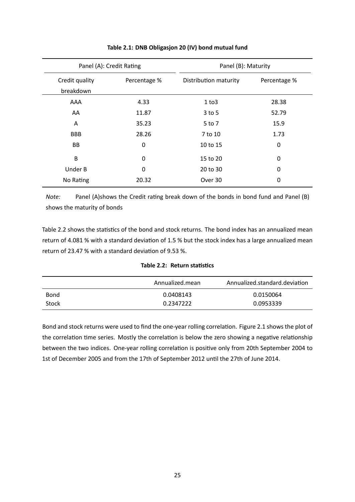<span id="page-28-0"></span>

| Panel (A): Credit Rating    |              | Panel (B): Maturity   |              |
|-----------------------------|--------------|-----------------------|--------------|
| Credit quality<br>breakdown | Percentage % | Distribution maturity | Percentage % |
| AAA                         | 4.33         | 1 to 3                | 28.38        |
| AA                          | 11.87        | $3$ to 5              | 52.79        |
| A                           | 35.23        | 5 to 7                | 15.9         |
| <b>BBB</b>                  | 28.26        | 7 to 10               | 1.73         |
| BB                          | 0            | 10 to 15              | 0            |
| B                           | 0            | 15 to 20              | 0            |
| Under B                     | 0            | 20 to 30              | 0            |
| No Rating                   | 20.32        | Over 30               | 0            |

| Table 2.1: DNB Obligasjon 20 (IV) bond mutual fund |  |
|----------------------------------------------------|--|
|----------------------------------------------------|--|

*Note:* Panel (A)shows the Credit rating break down of the bonds in bond fund and Panel (B) shows the maturity of bonds

Table 2.2 shows the statistics of the bond and stock returns. The bond index has an annualized mean return of 4.081 % with a standard deviation of 1.5 % but the stock index has a large annualized mean return of 23.47 % with a standard deviation of 9.53 %.

Table 2.2: Return statistics

<span id="page-28-1"></span>

|       | Annualized.mean | Annualized.standard.deviation |
|-------|-----------------|-------------------------------|
| Bond  | 0.0408143       | 0.0150064                     |
| Stock | 0.2347222       | 0.0953339                     |

Bond and stock returns were used to find the one-year rolling correlation. Figure 2.1 shows the plot of the correlation time series. Mostly the correlation is below the zero showing a negative relationship between the two indices. One-year rolling correlation is positive only from 20th September 2004 to 1st of December 2005 and from the 17th of September 2012 until the 27[th of June 2](#page-29-1)014.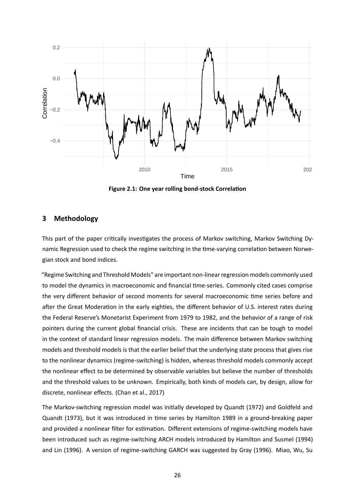<span id="page-29-1"></span>

**Figure 2.1: One year rolling bond-stock Correlation** 

#### <span id="page-29-0"></span>**3 Methodology**

This part of the paper critically investigates the process of Markov switching, Markov Switching Dynamic Regression used to check the regime switching in the time-varying correlation between Norwegian stock and bond indices.

"Regime Switching and Threshold Models" are important non-linear regression models commonly used to model the dynamics in macroeconomic and financial time-series. Commonly cited cases comprise the very different behavior of second moments for several macroeconomic time series before and after the Great Moderation in the early eighties, the different behavior of U.S. interest rates during the Federal Reserve's Monetarist Experiment from 1979 to 1982, and the behavior of a range of risk pointers during the current global financial crisis. These are incidents that can be tough to model in the context of standard linear regression models. The main difference between Markov switching models and threshold models is that the earlier belief that the underlying state process that gives rise to the nonlinear dynamics (regime-switching) is hidden, whereas threshold models commonly accept the nonlinear effect to be determined by observable variables but believe the number of thresholds and the threshold values to be unknown. Empirically, both kinds of models can, by design, allow for discrete, nonlinear effects. (Chan et al., 2017)

The Markov-switching regression model was initially developed by Quandt (1972) and Goldfeld and Quandt (1973), but it was introduced in time series by Hamilton 1989 in a ground-breaking paper and provided a nonlinear filter for estimation. Different extensions of regime-switching models have been introduced such as regime-switching ARCH models introduced by Hamilton and Susmel (1994) and Lin (1996). A version of regime-switching GARCH was suggested by Gray (1996). Miao, Wu, Su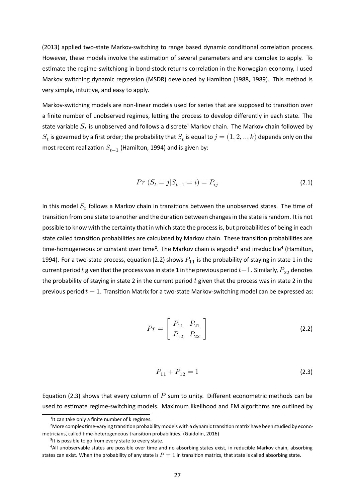(2013) applied two-state Markov-switching to range based dynamic conditional correlation process. However, these models involve the estimation of several parameters and are complex to apply. To estimate the regime-switchiong in bond-stock returns correlation in the Norwegian economy, I used Markov switching dynamic regression (MSDR) developed by Hamilton (1988, 1989). This method is very simple, intuitive, and easy to apply.

Markov-switching models are non-linear models used for series that are supposed to transition over a finite number of unobserved regimes, letting the process to develop differently in each state. The state variable  $S_t$  is unobserved and follows a discrete<sup>1</sup> Markov chain. The Markov chain followed by  $S_t$  is governed by a first order; the probability that  $S_t$  is equal to  $j=(1,2,..,k)$  depends only on the most recent realization  $S_{t-1}$  (Hamilton, 1994) and is given by:

$$
Pr(S_t = j | S_{t-1} = i) = P_{ij}
$$
\n(2.1)

In this model  $S_t$  follows a Markov chain in transitions between the unobserved states. The time of transition from one state to another and the duration between changes in the state is random. It is not possible to know with the certainty that in which state the process is, but probabilities of being in each state called transition probabilities are calculated by Markov chain. These transition probabilities are time-homogeneous or constant over time<sup>2</sup>. The Markov chain is ergodic<sup>3</sup> and irreducible<sup>4</sup> (Hamilton, 1994). For a two-state process, equation (2.2) shows  $P_{11}$  is the probability of staying in state 1 in the current period  $t$  given that the process was in state 1 in the previous period  $t-1$ . Similarly,  $P_{22}$  denotes the probability of staying in state 2 in the current period  $t$  given that the process was in state 2 in the previous period  $t-1$ . Transition Matrix f[or a](#page-30-1) two-state Markov-switching model can be expressed as:

$$
Pr = \left[ \begin{array}{cc} P_{11} & P_{21} \\ P_{12} & P_{22} \end{array} \right] \tag{2.2}
$$

<span id="page-30-1"></span><span id="page-30-0"></span>
$$
P_{11} + P_{12} = 1 \tag{2.3}
$$

Equation (2.3) shows that every column of  $P$  sum to unity. Different econometric methods can be used to estimate regime-switching models. Maximum likelihood and EM algorithms are outlined by

<sup>&</sup>lt;sup>1</sup>It can take only a finite number of k regimes.

<sup>&</sup>lt;sup>2</sup>More c[ompl](#page-30-0)ex time-varying transition probability models with a dynamic transition matrix have been studied by econometricians, called time-heterogeneous transition probabilities. (Guidolin, 2016)

<sup>&</sup>lt;sup>3</sup>It is possible to go from every state to every state.

<sup>&</sup>lt;sup>4</sup>All unobservable states are possible over time and no absorbing states exist, in reducible Markov chain, absorbing states can exist. When the probability of any state is  $P=1$  in transition matrics, that state is called absorbing state.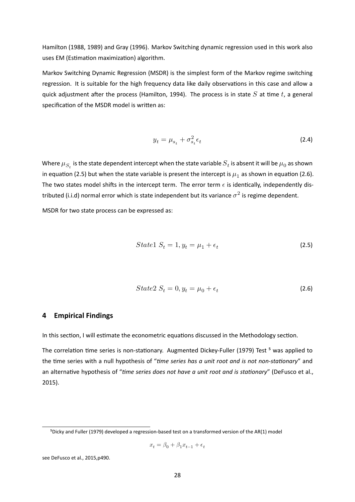Hamilton (1988, 1989) and Gray (1996). Markov Switching dynamic regression used in this work also uses EM (Estimation maximization) algorithm.

Markov Switching Dynamic Regression (MSDR) is the simplest form of the Markov regime switching regression. It is suitable for the high frequency data like daily observations in this case and allow a quick adjustment after the process (Hamilton, 1994). The process is in state  $S$  at time t, a general specification of the MSDR model is written as:

$$
y_t = \mu_{s_t} + \sigma_{s_t}^2 \epsilon_t \tag{2.4}
$$

Where  $\mu_{S_t}$  is the state dependent intercept when the state variable  $S_t$  is absent it will be  $\mu_0$  as shown in equation (2.5) but when the state variable is present the intercept is  $\mu_1$  as shown in equation (2.6). The two states model shifts in the intercept term. The error term  $\epsilon$  is identically, independently distributed (i.i.d) normal error which is state independent but its variance  $\sigma^2$  is regime dependent.

MSDR for tw[o st](#page-31-1)ate process can be expressed as:

$$
State1 S_t = 1, y_t = \mu_1 + \epsilon_t \tag{2.5}
$$

<span id="page-31-1"></span>
$$
State2 S_t = 0, y_t = \mu_0 + \epsilon_t \tag{2.6}
$$

#### **4 Empirical Findings**

<span id="page-31-0"></span>In this section, I will estimate the econometric equations discussed in the Methodology section.

The correlation time series is non-stationary. Augmented Dickey-Fuller (1979) Test<sup>5</sup> was applied to the time series with a null hypothesis of "time series has a unit root and is not non-stationary" and an alternative hypothesis of "*time series does not have a unit root and is stationary*" (DeFusco et al., 2015).

$$
x_t = \beta_0 + \beta_1 x_{t-1} + \epsilon_t
$$

see DeFusco et al., 2015,p490.

⁵Dicky and Fuller (1979) developed a regression-based test on a transformed version of the AR(1) model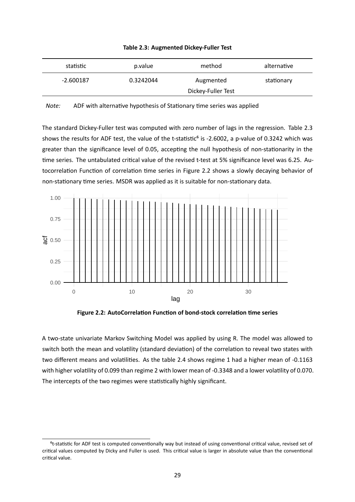<span id="page-32-1"></span>

| $-2.600187$ | 0.3242044          | Augmented | stationary |
|-------------|--------------------|-----------|------------|
|             | Dickey-Fuller Test |           |            |

|  |  | Table 2.3: Augmented Dickey-Fuller Test |  |
|--|--|-----------------------------------------|--|
|--|--|-----------------------------------------|--|

*Note:* ADF with alternative hypothesis of Stationary time series was applied

The standard Dickey-Fuller test was computed with zero number of lags in the regression. Table 2.3 shows the results for ADF test, the value of the t-statistic<sup>6</sup> is -2.6002, a p-value of 0.3242 which was greater than the significance level of 0.05, accepting the null hypothesis of non-stationarity in the time series. The untabulated critical value of the revised t-test at 5% significance level was 6.25. [Au](#page-32-1)tocorrelation Function of correlation time series in Figure 2.2 shows a slowly decaying behavior of non-stationary time series. MSDR was applied as it is suitable for non-stationary data.

<span id="page-32-0"></span>

Figure 2.2: AutoCorrelation Function of bond-stock correlation time series

A two-state univariate Markov Switching Model was applied by using R. The model was allowed to switch both the mean and volatility (standard deviation) of the correlation to reveal two states with two different means and volatilities. As the table 2.4 shows regime 1 had a higher mean of -0.1163 with higher volatility of 0.099 than regime 2 with lower mean of -0.3348 and a lower volatility of 0.070. The intercepts of the two regimes were statistically highly significant.

<sup>&</sup>lt;sup>6</sup>t-statistic for ADF test is computed conventionally way but instead of using conventional critical value, revised set of critical values computed by Dicky and Fuller is used. This critical value is larger in absolute value than the conventional critical value.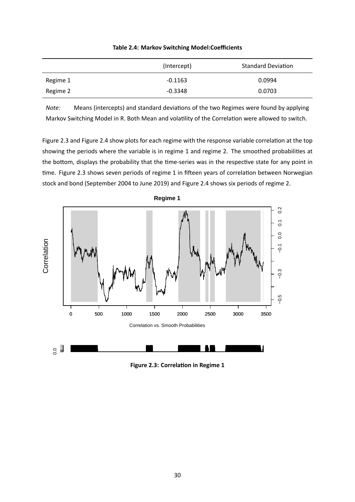|          | (Intercept) | <b>Standard Deviation</b> |
|----------|-------------|---------------------------|
| Regime 1 | $-0.1163$   | 0.0994                    |
| Regime 2 | $-0.3348$   | 0.0703                    |

**Table 2.4: Markov Switching Model:Coefficients** 

*Note:* Means (intercepts) and standard deviations of the two Regimes were found by applying Markov Switching Model in R. Both Mean and volatility of the Correlation were allowed to switch.

Figure 2.3 and Figure 2.4 show plots for each regime with the response variable correlation at the top showing the periods where the variable is in regime 1 and regime 2. The smoothed probabilities at the bottom, displays the probability that the time-series was in the respective state for any point in time. Figure 2.3 [shows s](#page-34-1)even periods of regime 1 in fifteen years of correlation between Norwegian stock and bond (September 2004 to June 2019) and Figure 2.4 shows six periods of regime 2.

<span id="page-33-0"></span>



**Figure 2.3: Correlation in Regime 1**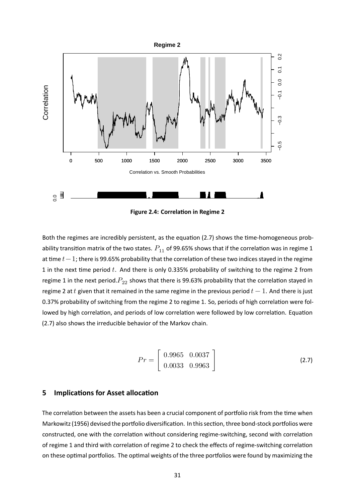<span id="page-34-1"></span>

**Figure 2.4: Correlation in Regime 2** 

Both the regimes are incredibly persistent, as the equation (2.7) shows the time-homogeneous probability transition matrix of the two states.  $P_{11}$  of 99.65% shows that if the correlation was in regime 1 at time  $t-1$ ; there is 99.65% probability that the correlation of these two indices stayed in the regime 1 in the next time period  $t$ . And there is only 0.335% prob[abili](#page-34-2)ty of switching to the regime 2 from regime 1 in the next period. $P_{22}$  shows that there is 99.63% probability that the correlation stayed in regime 2 at t given that it remained in the same regime in the previous period  $t-1$ . And there is just 0.37% probability of switching from the regime 2 to regime 1. So, periods of high correlation were followed by high correlation, and periods of low correlation were followed by low correlation. Equation (2.7) also shows the irreducible behavior of the Markov chain.

<span id="page-34-2"></span>
$$
Pr = \left[ \begin{array}{cc} 0.9965 & 0.0037 \\ 0.0033 & 0.9963 \end{array} \right] \tag{2.7}
$$

#### **5 Implications for Asset allocation**

<span id="page-34-0"></span>The correlation between the assets has been a crucial component of portfolio risk from the time when Markowitz (1956) devised the portfolio diversification. In this section, three bond-stock portfolios were constructed, one with the correlation without considering regime-switching, second with correlation of regime 1 and third with correlation of regime 2 to check the effects of regime-switching correlation on these optimal portfolios. The optimal weights of the three portfolios were found by maximizing the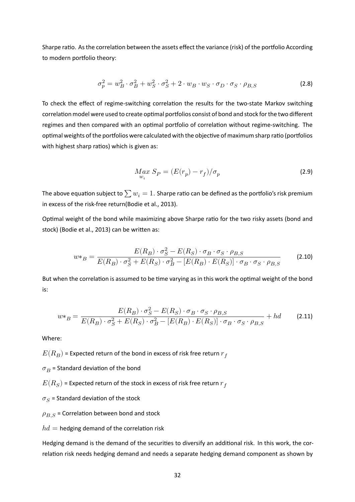Sharpe ratio. As the correlation between the assets effect the variance (risk) of the portfolio According to modern portfolio theory:

$$
\sigma_p^2 = w_B^2 \cdot \sigma_B^2 + w_S^2 \cdot \sigma_S^2 + 2 \cdot w_B \cdot w_S \cdot \sigma_D \cdot \sigma_S \cdot \rho_{B,S}
$$
\n(2.8)

To check the effect of regime-switching correlation the results for the two-state Markov switching correlation model were used to create optimal portfolios consist of bond and stock for the two different regimes and then compared with an optimal portfolio of correlation without regime-switching. The optimal weights of the portfolios were calculated with the objective of maximum sharp ratio (portfolios with highest sharp ratios) which is given as:

$$
M_{av} S_P = (E(r_p) - r_f) / \sigma_p \tag{2.9}
$$

The above equation subject to  $\sum w_i = 1$ . Sharpe ratio can be defined as the portfolio's risk premium in excess of the risk-free return(Bodie et al., 2013).

Optimal weight of the bond while maximizing above Sharpe ratio for the two risky assets (bond and stock) (Bodie et al., 2013) can be written as:

<span id="page-35-0"></span>
$$
w *_B = \frac{E(R_B) \cdot \sigma_S^2 - E(R_S) \cdot \sigma_B \cdot \sigma_S \cdot \rho_{B,S}}{E(R_B) \cdot \sigma_S^2 + E(R_S) \cdot \sigma_B^2 - [E(R_B) \cdot E(R_S)] \cdot \sigma_B \cdot \sigma_S \cdot \rho_{B,S}}
$$
(2.10)

But when the correlation is assumed to be time varying as in this work the optimal weight of the bond is:

$$
w *_B = \frac{E(R_B) \cdot \sigma_S^2 - E(R_S) \cdot \sigma_B \cdot \sigma_S \cdot \rho_{B,S}}{E(R_B) \cdot \sigma_S^2 + E(R_S) \cdot \sigma_B^2 - [E(R_B) \cdot E(R_S)] \cdot \sigma_B \cdot \sigma_S \cdot \rho_{B,S}} + hd
$$
 (2.11)

Where:

 $(E(R_B)$  = Expected return of the bond in excess of risk free return  $r_f$ 

 $\sigma_B$  = Standard deviation of the bond

 $E(R_S)$  = Expected return of the stock in excess of risk free return  $r_f^{\phantom{\dagger}}$ 

 $\sigma_S$  = Standard deviation of the stock

 $\rho_{B,S}$  = Correlation between bond and stock

 $hd =$  hedging demand of the correlation risk

Hedging demand is the demand of the securities to diversify an additional risk. In this work, the correlation risk needs hedging demand and needs a separate hedging demand component as shown by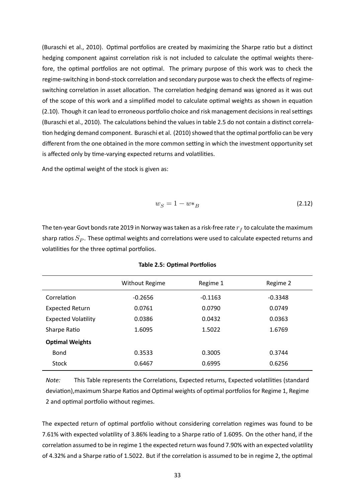(Buraschi et al., 2010). Optimal portfolios are created by maximizing the Sharpe ratio but a distinct hedging component against correlation risk is not included to calculate the optimal weights therefore, the optimal portfolios are not optimal. The primary purpose of this work was to check the regime-switching in bond-stock correlation and secondary purpose was to check the effects of regimeswitching correlation in asset allocation. The correlation hedging demand was ignored as it was out of the scope of this work and a simplified model to calculate optimal weights as shown in equation (2.10). Though it can lead to erroneous portfolio choice and risk management decisions in real settings (Buraschi et al., 2010). The calculations behind the values in table 2.5 do not contain a distinct correlation hedging demand component. Buraschi et al. (2010) showed that the optimal portfolio can be very different from the one obtained in the more common setting in which the investment opportunity set is affected only by time-varying expected returns and volatilities.

And the optimal weight of the stock is given as:

$$
w_S = 1 - w \ast_B \tag{2.12}
$$

The ten-year Govt bonds rate 2019 in Norway was taken as a risk-free rate  $r_f$  to calculate the maximum sharp ratios  $S_P$ . These optimal weights and correlations were used to calculate expected returns and volatilities for the three optimal portfolios.

|                            | <b>Without Regime</b> | Regime 1  | Regime 2  |
|----------------------------|-----------------------|-----------|-----------|
| Correlation                | $-0.2656$             | $-0.1163$ | $-0.3348$ |
| <b>Expected Return</b>     | 0.0761                | 0.0790    | 0.0749    |
| <b>Expected Volatility</b> | 0.0386                | 0.0432    | 0.0363    |
| Sharpe Ratio               | 1.6095                | 1.5022    | 1.6769    |
| <b>Optimal Weights</b>     |                       |           |           |
| Bond                       | 0.3533                | 0.3005    | 0.3744    |
| <b>Stock</b>               | 0.6467                | 0.6995    | 0.6256    |

**Table 2.5: OpƟmal Porƞolios**

*Note:* This Table represents the Correlations, Expected returns, Expected volatilities (standard deviation), maximum Sharpe Ratios and Optimal weights of optimal portfolios for Regime 1, Regime 2 and optimal portfolio without regimes.

The expected return of optimal portfolio without considering correlation regimes was found to be 7.61% with expected volatility of 3.86% leading to a Sharpe ratio of 1.6095. On the other hand, if the correlation assumed to be in regime 1 the expected return was found 7.90% with an expected volatility of 4.32% and a Sharpe ratio of 1.5022. But if the correlation is assumed to be in regime 2, the optimal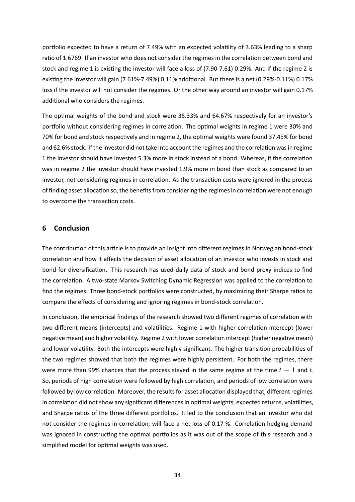portfolio expected to have a return of 7.49% with an expected volatility of 3.63% leading to a sharp ratio of 1.6769. If an investor who does not consider the regimes in the correlation between bond and stock and regime 1 is existing the investor will face a loss of (7.90-7.61) 0.29%. And if the regime 2 is existing the investor will gain (7.61%-7.49%) 0.11% additional. But there is a net (0.29%-0.11%) 0.17% loss if the investor will not consider the regimes. Or the other way around an investor will gain 0.17% additional who considers the regimes.

The optimal weights of the bond and stock were 35.33% and 64.67% respectively for an investor's portfolio without considering regimes in correlation. The optimal weights in regime 1 were 30% and 70% for bond and stock respectively and in regime 2, the optimal weights were found 37.45% for bond and 62.6% stock. If the investor did not take into account the regimes and the correlation was in regime 1 the investor should have invested 5.3% more in stock instead of a bond. Whereas, if the correlation was in regime 2 the investor should have invested 1.9% more in bond than stock as compared to an investor, not considering regimes in correlation. As the transaction costs were ignored in the process of finding asset allocation so, the benefits from considering the regimes in correlation were not enough to overcome the transaction costs.

#### **6 Conclusion**

The contribution of this article is to provide an insight into different regimes in Norwegian bond-stock correlation and how it affects the decision of asset allocation of an investor who invests in stock and bond for diversification. This research has used daily data of stock and bond proxy indices to find the correlation. A two-state Markov Switching Dynamic Regression was applied to the correlation to find the regimes. Three bond-stock portfolios were constructed, by maximizing their Sharpe ratios to compare the effects of considering and ignoring regimes in bond-stock correlation.

In conclusion, the empirical findings of the research showed two different regimes of correlation with two different means (intercepts) and volatilities. Regime 1 with higher correlation intercept (lower negative mean) and higher volatility. Regime 2 with lower correlation intercept (higher negative mean) and lower volatility. Both the intercepts were highly significant. The higher transition probabilities of the two regimes showed that both the regimes were highly persistent. For both the regimes, there were more than 99% chances that the process stayed in the same regime at the time  $t-1$  and  $t$ . So, periods of high correlation were followed by high correlation, and periods of low correlation were followed by low correlation. Moreover, the results for asset allocation displayed that, different regimes in correlation did not show any significant differences in optimal weights, expected returns, volatilities, and Sharpe ratios of the three different portfolios. It led to the conclusion that an investor who did not consider the regimes in correlation, will face a net loss of 0.17 %. Correlation hedging demand was ignored in constructing the optimal portfolios as it was out of the scope of this research and a simplified model for optimal weights was used.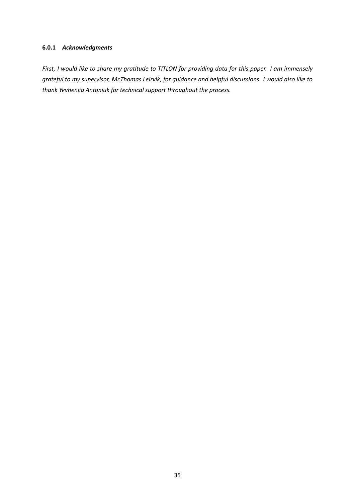#### **6.0.1** *Acknowledgments*

*First, I would like to share my gratitude to TITLON for providing data for this paper. I am immensely grateful to my supervisor, Mr.Thomas Leirvik, for guidance and helpful discussions. I would also like to thank Yevheniia Antoniuk for technical support throughout the process.*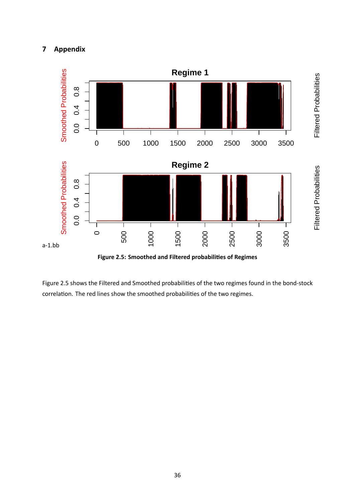

Figure 2.5 shows the Filtered and Smoothed probabilities of the two regimes found in the bond-stock correlation. The red lines show the smoothed probabilities of the two regimes.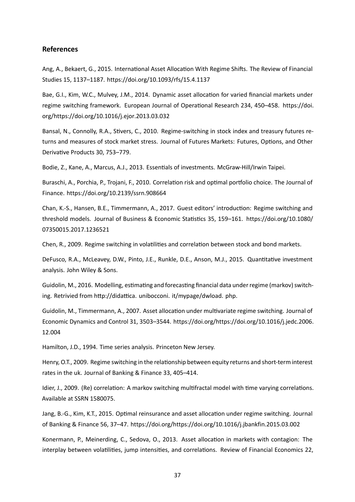#### **References**

Ang, A., Bekaert, G., 2015. International Asset Allocation With Regime Shifts. The Review of Financial Studies 15, 1137–1187. https://doi.org/10.1093/rfs/15.4.1137

Bae, G.I., Kim, W.C., Mulvey, J.M., 2014. Dynamic asset allocation for varied financial markets under regime switching framework. European Journal of Operational Research 234, 450-458. https://doi. org/https://doi.org/10.1016/j.ejor.2013.03.032

Bansal, N., Connolly, R.A., Stivers, C., 2010. Regime-switching in stock index and treasur[y futures re](https://doi.org/https://doi.org/10.1016/j.ejor.2013.03.032)[turns and measures of stock market stress. Jour](https://doi.org/https://doi.org/10.1016/j.ejor.2013.03.032)nal of Futures Markets: Futures, Options, and Other Derivative Products 30, 753–779.

Bodie, Z., Kane, A., Marcus, A.J., 2013. Essentials of investments. McGraw-Hill/Irwin Taipei.

Buraschi, A., Porchia, P., Trojani, F., 2010. Correlation risk and optimal portfolio choice. The Journal of Finance. https://doi.org/10.2139/ssrn.908664

Chan, K.-S., Hansen, B.E., Timmermann, A., 2017. Guest editors' introduction: Regime switching and threshol[d models. Journal of Business & Econ](https://doi.org/10.2139/ssrn.908664)omic Statistics 35, 159–161. https://doi.org/10.1080/ 07350015.2017.1236521

Chen, R., 2009. Regime switching in volatilities and correlation between sto[ck and bond markets.](https://doi.org/10.1080/07350015.2017.1236521)

[DeFusco, R.A., McLeavey](https://doi.org/10.1080/07350015.2017.1236521), D.W., Pinto, J.E., Runkle, D.E., Anson, M.J., 2015. Quantitative investment analysis. John Wiley & Sons.

Guidolin, M., 2016. Modelling, estimating and forecasting financial data under regime (markov) switching. Retrivied from http://didattica. unibocconi. it/mypage/dwload. php.

Guidolin, M., Timmermann, A., 2007. Asset allocation under multivariate regime switching. Journal of Economic Dynamics and Control 31, 3503–3544. https://doi.org/https://doi.org/10.1016/j.jedc.2006. 12.004

Hamilton, J.D., 1994. Time series analysis. Prince[ton New Jersey.](https://doi.org/https://doi.org/10.1016/j.jedc.2006.12.004)

[Henry,](https://doi.org/https://doi.org/10.1016/j.jedc.2006.12.004) O.T., 2009. Regime switching in the relationship between equity returns and short-term interest rates in the uk. Journal of Banking & Finance 33, 405–414.

Idier, J., 2009. (Re) correlation: A markov switching multifractal model with time varying correlations. Available at SSRN 1580075.

Jang, B.-G., Kim, K.T., 2015. Optimal reinsurance and asset allocation under regime switching. Journal of Banking & Finance 56, 37–47. https://doi.org/https://doi.org/10.1016/j.jbankfin.2015.03.002

Konermann, P., Meinerding, C., Sedova, O., 2013. Asset allocation in markets with contagion: The interplay between volatilities, jump intensities, and correlations. Review of Financial Economics 22,